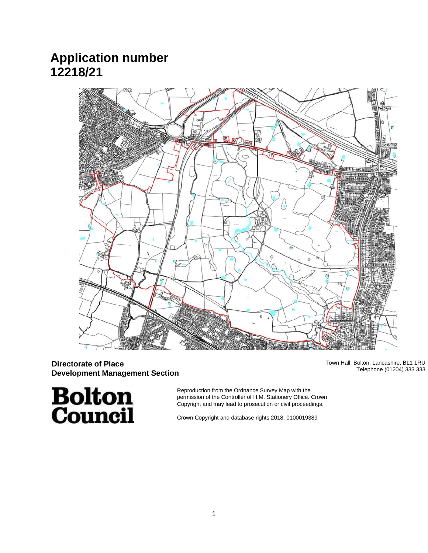# **Application number 12218/21**



# **Directorate of Place Development Management Section**

Town Hall, Bolton, Lancashire, BL1 1RU Telephone (01204) 333 333

**Bolton**<br>Council

Reproduction from the Ordnance Survey Map with the permission of the Controller of H.M. Stationery Office. Crown Copyright and may lead to prosecution or civil proceedings.

Crown Copyright and database rights 2018. 0100019389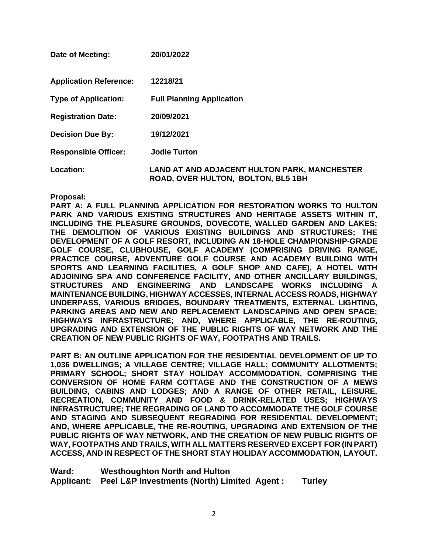| Date of Meeting:              | 20/01/2022                                                                                |
|-------------------------------|-------------------------------------------------------------------------------------------|
| <b>Application Reference:</b> | 12218/21                                                                                  |
| <b>Type of Application:</b>   | <b>Full Planning Application</b>                                                          |
| <b>Registration Date:</b>     | 20/09/2021                                                                                |
| <b>Decision Due By:</b>       | 19/12/2021                                                                                |
| <b>Responsible Officer:</b>   | <b>Jodie Turton</b>                                                                       |
| <b>Location:</b>              | <b>LAND AT AND ADJACENT HULTON PARK, MANCHESTER</b><br>ROAD, OVER HULTON, BOLTON, BL5 1BH |

#### **Proposal:**

**PART A: A FULL PLANNING APPLICATION FOR RESTORATION WORKS TO HULTON PARK AND VARIOUS EXISTING STRUCTURES AND HERITAGE ASSETS WITHIN IT, INCLUDING THE PLEASURE GROUNDS, DOVECOTE, WALLED GARDEN AND LAKES; THE DEMOLITION OF VARIOUS EXISTING BUILDINGS AND STRUCTURES; THE DEVELOPMENT OF A GOLF RESORT, INCLUDING AN 18-HOLE CHAMPIONSHIP-GRADE GOLF COURSE, CLUBHOUSE, GOLF ACADEMY (COMPRISING DRIVING RANGE, PRACTICE COURSE, ADVENTURE GOLF COURSE AND ACADEMY BUILDING WITH SPORTS AND LEARNING FACILITIES, A GOLF SHOP AND CAFE), A HOTEL WITH ADJOINING SPA AND CONFERENCE FACILITY, AND OTHER ANCILLARY BUILDINGS, STRUCTURES AND ENGINEERING AND LANDSCAPE WORKS INCLUDING A MAINTENANCE BUILDING, HIGHWAY ACCESSES, INTERNAL ACCESS ROADS, HIGHWAY UNDERPASS, VARIOUS BRIDGES, BOUNDARY TREATMENTS, EXTERNAL LIGHTING, PARKING AREAS AND NEW AND REPLACEMENT LANDSCAPING AND OPEN SPACE; HIGHWAYS INFRASTRUCTURE; AND, WHERE APPLICABLE, THE RE-ROUTING, UPGRADING AND EXTENSION OF THE PUBLIC RIGHTS OF WAY NETWORK AND THE CREATION OF NEW PUBLIC RIGHTS OF WAY, FOOTPATHS AND TRAILS.** 

**PART B: AN OUTLINE APPLICATION FOR THE RESIDENTIAL DEVELOPMENT OF UP TO 1,036 DWELLINGS; A VILLAGE CENTRE; VILLAGE HALL; COMMUNITY ALLOTMENTS; PRIMARY SCHOOL; SHORT STAY HOLIDAY ACCOMMODATION, COMPRISING THE CONVERSION OF HOME FARM COTTAGE AND THE CONSTRUCTION OF A MEWS BUILDING, CABINS AND LODGES; AND A RANGE OF OTHER RETAIL, LEISURE, RECREATION, COMMUNITY AND FOOD & DRINK-RELATED USES; HIGHWAYS INFRASTRUCTURE; THE REGRADING OF LAND TO ACCOMMODATE THE GOLF COURSE AND STAGING AND SUBSEQUENT REGRADING FOR RESIDENTIAL DEVELOPMENT; AND, WHERE APPLICABLE, THE RE-ROUTING, UPGRADING AND EXTENSION OF THE PUBLIC RIGHTS OF WAY NETWORK, AND THE CREATION OF NEW PUBLIC RIGHTS OF WAY, FOOTPATHS AND TRAILS, WITH ALL MATTERS RESERVED EXCEPT FOR (IN PART) ACCESS, AND IN RESPECT OF THE SHORT STAY HOLIDAY ACCOMMODATION, LAYOUT.**

**Ward: Westhoughton North and Hulton Applicant: Peel L&P Investments (North) Limited Agent : Turley**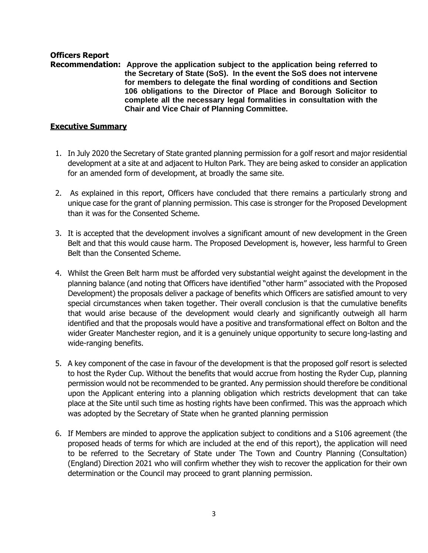# **Officers Report**

**Recommendation: Approve the application subject to the application being referred to the Secretary of State (SoS). In the event the SoS does not intervene for members to delegate the final wording of conditions and Section 106 obligations to the Director of Place and Borough Solicitor to complete all the necessary legal formalities in consultation with the Chair and Vice Chair of Planning Committee.**

# **Executive Summary**

- 1. In July 2020 the Secretary of State granted planning permission for a golf resort and major residential development at a site at and adjacent to Hulton Park. They are being asked to consider an application for an amended form of development, at broadly the same site.
- 2. As explained in this report, Officers have concluded that there remains a particularly strong and unique case for the grant of planning permission. This case is stronger for the Proposed Development than it was for the Consented Scheme.
- 3. It is accepted that the development involves a significant amount of new development in the Green Belt and that this would cause harm. The Proposed Development is, however, less harmful to Green Belt than the Consented Scheme.
- 4. Whilst the Green Belt harm must be afforded very substantial weight against the development in the planning balance (and noting that Officers have identified "other harm" associated with the Proposed Development) the proposals deliver a package of benefits which Officers are satisfied amount to very special circumstances when taken together. Their overall conclusion is that the cumulative benefits that would arise because of the development would clearly and significantly outweigh all harm identified and that the proposals would have a positive and transformational effect on Bolton and the wider Greater Manchester region, and it is a genuinely unique opportunity to secure long-lasting and wide-ranging benefits.
- 5. A key component of the case in favour of the development is that the proposed golf resort is selected to host the Ryder Cup. Without the benefits that would accrue from hosting the Ryder Cup, planning permission would not be recommended to be granted. Any permission should therefore be conditional upon the Applicant entering into a planning obligation which restricts development that can take place at the Site until such time as hosting rights have been confirmed. This was the approach which was adopted by the Secretary of State when he granted planning permission
- 6. If Members are minded to approve the application subject to conditions and a S106 agreement (the proposed heads of terms for which are included at the end of this report), the application will need to be referred to the Secretary of State under The Town and Country Planning (Consultation) (England) Direction 2021 who will confirm whether they wish to recover the application for their own determination or the Council may proceed to grant planning permission.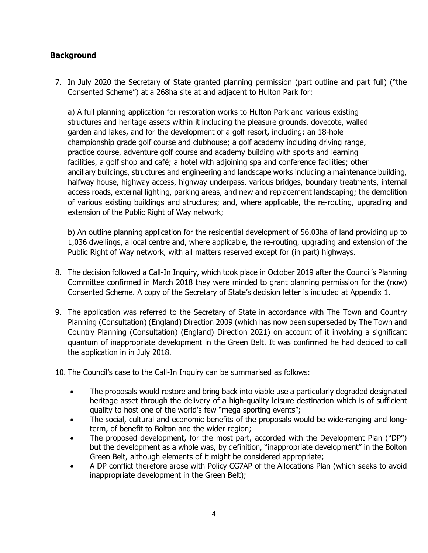# **Background**

7. In July 2020 the Secretary of State granted planning permission (part outline and part full) ("the Consented Scheme") at a 268ha site at and adjacent to Hulton Park for:

a) A full planning application for restoration works to Hulton Park and various existing structures and heritage assets within it including the pleasure grounds, dovecote, walled garden and lakes, and for the development of a golf resort, including: an 18-hole championship grade golf course and clubhouse; a golf academy including driving range, practice course, adventure golf course and academy building with sports and learning facilities, a golf shop and café; a hotel with adjoining spa and conference facilities; other ancillary buildings, structures and engineering and landscape works including a maintenance building, halfway house, highway access, highway underpass, various bridges, boundary treatments, internal access roads, external lighting, parking areas, and new and replacement landscaping; the demolition of various existing buildings and structures; and, where applicable, the re-routing, upgrading and extension of the Public Right of Way network;

b) An outline planning application for the residential development of 56.03ha of land providing up to 1,036 dwellings, a local centre and, where applicable, the re-routing, upgrading and extension of the Public Right of Way network, with all matters reserved except for (in part) highways.

- 8. The decision followed a Call-In Inquiry, which took place in October 2019 after the Council's Planning Committee confirmed in March 2018 they were minded to grant planning permission for the (now) Consented Scheme. A copy of the Secretary of State's decision letter is included at Appendix 1.
- 9. The application was referred to the Secretary of State in accordance with The Town and Country Planning (Consultation) (England) Direction 2009 (which has now been superseded by The Town and Country Planning (Consultation) (England) Direction 2021) on account of it involving a significant quantum of inappropriate development in the Green Belt. It was confirmed he had decided to call the application in in July 2018.

10. The Council's case to the Call-In Inquiry can be summarised as follows:

- The proposals would restore and bring back into viable use a particularly degraded designated heritage asset through the delivery of a high-quality leisure destination which is of sufficient quality to host one of the world's few "mega sporting events";
- The social, cultural and economic benefits of the proposals would be wide-ranging and longterm, of benefit to Bolton and the wider region;
- The proposed development, for the most part, accorded with the Development Plan ("DP") but the development as a whole was, by definition, "inappropriate development" in the Bolton Green Belt, although elements of it might be considered appropriate;
- A DP conflict therefore arose with Policy CG7AP of the Allocations Plan (which seeks to avoid inappropriate development in the Green Belt);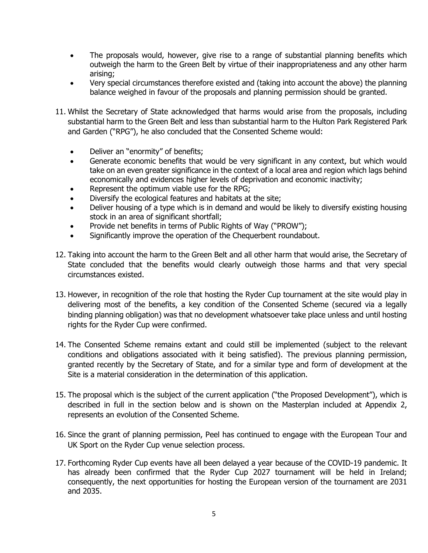- The proposals would, however, give rise to a range of substantial planning benefits which outweigh the harm to the Green Belt by virtue of their inappropriateness and any other harm arising;
- Very special circumstances therefore existed and (taking into account the above) the planning balance weighed in favour of the proposals and planning permission should be granted.
- 11. Whilst the Secretary of State acknowledged that harms would arise from the proposals, including substantial harm to the Green Belt and less than substantial harm to the Hulton Park Registered Park and Garden ("RPG"), he also concluded that the Consented Scheme would:
	- Deliver an "enormity" of benefits;
	- Generate economic benefits that would be very significant in any context, but which would take on an even greater significance in the context of a local area and region which lags behind economically and evidences higher levels of deprivation and economic inactivity;
	- Represent the optimum viable use for the RPG;
	- Diversify the ecological features and habitats at the site;
	- Deliver housing of a type which is in demand and would be likely to diversify existing housing stock in an area of significant shortfall;
	- Provide net benefits in terms of Public Rights of Way ("PROW");
	- Significantly improve the operation of the Chequerbent roundabout.
- 12. Taking into account the harm to the Green Belt and all other harm that would arise, the Secretary of State concluded that the benefits would clearly outweigh those harms and that very special circumstances existed.
- 13. However, in recognition of the role that hosting the Ryder Cup tournament at the site would play in delivering most of the benefits, a key condition of the Consented Scheme (secured via a legally binding planning obligation) was that no development whatsoever take place unless and until hosting rights for the Ryder Cup were confirmed.
- 14. The Consented Scheme remains extant and could still be implemented (subject to the relevant conditions and obligations associated with it being satisfied). The previous planning permission, granted recently by the Secretary of State, and for a similar type and form of development at the Site is a material consideration in the determination of this application.
- 15. The proposal which is the subject of the current application ("the Proposed Development"), which is described in full in the section below and is shown on the Masterplan included at Appendix 2, represents an evolution of the Consented Scheme.
- 16. Since the grant of planning permission, Peel has continued to engage with the European Tour and UK Sport on the Ryder Cup venue selection process.
- 17. Forthcoming Ryder Cup events have all been delayed a year because of the COVID-19 pandemic. It has already been confirmed that the Ryder Cup 2027 tournament will be held in Ireland; consequently, the next opportunities for hosting the European version of the tournament are 2031 and 2035.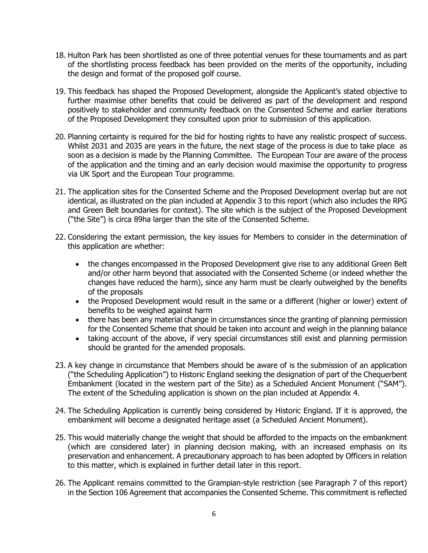- 18. Hulton Park has been shortlisted as one of three potential venues for these tournaments and as part of the shortlisting process feedback has been provided on the merits of the opportunity, including the design and format of the proposed golf course.
- 19. This feedback has shaped the Proposed Development, alongside the Applicant's stated objective to further maximise other benefits that could be delivered as part of the development and respond positively to stakeholder and community feedback on the Consented Scheme and earlier iterations of the Proposed Development they consulted upon prior to submission of this application.
- 20. Planning certainty is required for the bid for hosting rights to have any realistic prospect of success. Whilst 2031 and 2035 are years in the future, the next stage of the process is due to take place as soon as a decision is made by the Planning Committee. The European Tour are aware of the process of the application and the timing and an early decision would maximise the opportunity to progress via UK Sport and the European Tour programme.
- 21. The application sites for the Consented Scheme and the Proposed Development overlap but are not identical, as illustrated on the plan included at Appendix 3 to this report (which also includes the RPG and Green Belt boundaries for context). The site which is the subject of the Proposed Development ("the Site") is circa 89ha larger than the site of the Consented Scheme.
- 22. Considering the extant permission, the key issues for Members to consider in the determination of this application are whether:
	- the changes encompassed in the Proposed Development give rise to any additional Green Belt and/or other harm beyond that associated with the Consented Scheme (or indeed whether the changes have reduced the harm), since any harm must be clearly outweighed by the benefits of the proposals
	- the Proposed Development would result in the same or a different (higher or lower) extent of benefits to be weighed against harm
	- there has been any material change in circumstances since the granting of planning permission for the Consented Scheme that should be taken into account and weigh in the planning balance
	- taking account of the above, if very special circumstances still exist and planning permission should be granted for the amended proposals.
- 23. A key change in circumstance that Members should be aware of is the submission of an application ("the Scheduling Application") to Historic England seeking the designation of part of the Chequerbent Embankment (located in the western part of the Site) as a Scheduled Ancient Monument ("SAM"). The extent of the Scheduling application is shown on the plan included at Appendix 4.
- 24. The Scheduling Application is currently being considered by Historic England. If it is approved, the embankment will become a designated heritage asset (a Scheduled Ancient Monument).
- 25. This would materially change the weight that should be afforded to the impacts on the embankment (which are considered later) in planning decision making, with an increased emphasis on its preservation and enhancement. A precautionary approach to has been adopted by Officers in relation to this matter, which is explained in further detail later in this report.
- 26. The Applicant remains committed to the Grampian-style restriction (see Paragraph 7 of this report) in the Section 106 Agreement that accompanies the Consented Scheme. This commitment is reflected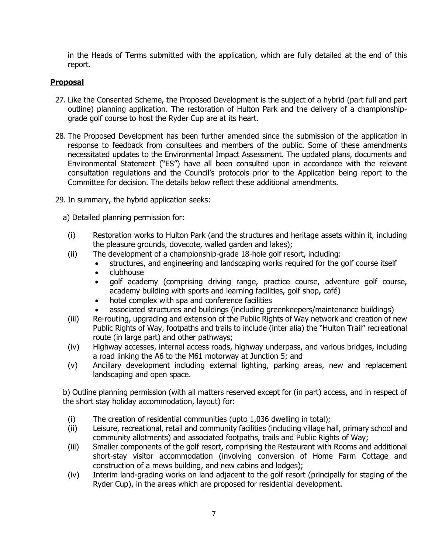in the Heads of Terms submitted with the application, which are fully detailed at the end of this report.

# **Proposal**

- 27. Like the Consented Scheme, the Proposed Development is the subject of a hybrid (part full and part outline) planning application. The restoration of Hulton Park and the delivery of a championshipgrade golf course to host the Ryder Cup are at its heart.
- 28. The Proposed Development has been further amended since the submission of the application in response to feedback from consultees and members of the public. Some of these amendments necessitated updates to the Environmental Impact Assessment. The updated plans, documents and Environmental Statement ("ES") have all been consulted upon in accordance with the relevant consultation regulations and the Council's protocols prior to the Application being report to the Committee for decision. The details below reflect these additional amendments.
- 29. In summary, the hybrid application seeks:
	- a) Detailed planning permission for:
	- (i) Restoration works to Hulton Park (and the structures and heritage assets within it, including the pleasure grounds, dovecote, walled garden and lakes);
	- (ii) The development of a championship-grade 18-hole golf resort, including:
		- structures, and engineering and landscaping works required for the golf course itself
		- clubhouse
		- golf academy (comprising driving range, practice course, adventure golf course, academy building with sports and learning facilities, golf shop, café)
		- hotel complex with spa and conference facilities
		- associated structures and buildings (including greenkeepers/maintenance buildings)
	- (iii) Re-routing, upgrading and extension of the Public Rights of Way network and creation of new Public Rights of Way, footpaths and trails to include (inter alia) the "Hulton Trail" recreational route (in large part) and other pathways;
	- (iv) Highway accesses, internal access roads, highway underpass, and various bridges, including a road linking the A6 to the M61 motorway at Junction 5; and
	- (v) Ancillary development including external lighting, parking areas, new and replacement landscaping and open space.

b) Outline planning permission (with all matters reserved except for (in part) access, and in respect of the short stay holiday accommodation, layout) for:

- (i) The creation of residential communities (upto 1,036 dwelling in total);
- (ii) Leisure, recreational, retail and community facilities (including village hall, primary school and community allotments) and associated footpaths, trails and Public Rights of Way;
- (iii) Smaller components of the golf resort, comprising the Restaurant with Rooms and additional short-stay visitor accommodation (involving conversion of Home Farm Cottage and construction of a mews building, and new cabins and lodges);
- (iv) Interim land-grading works on land adjacent to the golf resort (principally for staging of the Ryder Cup), in the areas which are proposed for residential development.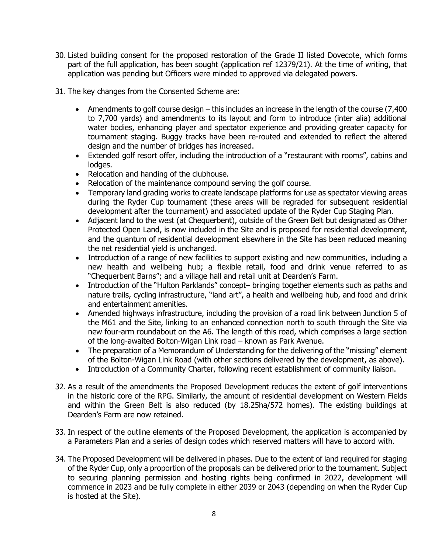- 30. Listed building consent for the proposed restoration of the Grade II listed Dovecote, which forms part of the full application, has been sought (application ref 12379/21). At the time of writing, that application was pending but Officers were minded to approved via delegated powers.
- 31. The key changes from the Consented Scheme are:
	- Amendments to golf course design this includes an increase in the length of the course (7,400) to 7,700 yards) and amendments to its layout and form to introduce (inter alia) additional water bodies, enhancing player and spectator experience and providing greater capacity for tournament staging. Buggy tracks have been re-routed and extended to reflect the altered design and the number of bridges has increased.
	- Extended golf resort offer, including the introduction of a "restaurant with rooms", cabins and lodges.
	- Relocation and handing of the clubhouse.
	- Relocation of the maintenance compound serving the golf course.
	- Temporary land grading works to create landscape platforms for use as spectator viewing areas during the Ryder Cup tournament (these areas will be regraded for subsequent residential development after the tournament) and associated update of the Ryder Cup Staging Plan.
	- Adjacent land to the west (at Chequerbent), outside of the Green Belt but designated as Other Protected Open Land, is now included in the Site and is proposed for residential development, and the quantum of residential development elsewhere in the Site has been reduced meaning the net residential yield is unchanged.
	- Introduction of a range of new facilities to support existing and new communities, including a new health and wellbeing hub; a flexible retail, food and drink venue referred to as "Chequerbent Barns"; and a village hall and retail unit at Dearden's Farm.
	- Introduction of the "Hulton Parklands" concept– bringing together elements such as paths and nature trails, cycling infrastructure, "land art", a health and wellbeing hub, and food and drink and entertainment amenities.
	- Amended highways infrastructure, including the provision of a road link between Junction 5 of the M61 and the Site, linking to an enhanced connection north to south through the Site via new four-arm roundabout on the A6. The length of this road, which comprises a large section of the long-awaited Bolton-Wigan Link road – known as Park Avenue.
	- The preparation of a Memorandum of Understanding for the delivering of the "missing" element of the Bolton-Wigan Link Road (with other sections delivered by the development, as above).
	- Introduction of a Community Charter, following recent establishment of community liaison.
- 32. As a result of the amendments the Proposed Development reduces the extent of golf interventions in the historic core of the RPG. Similarly, the amount of residential development on Western Fields and within the Green Belt is also reduced (by 18.25ha/572 homes). The existing buildings at Dearden's Farm are now retained.
- 33. In respect of the outline elements of the Proposed Development, the application is accompanied by a Parameters Plan and a series of design codes which reserved matters will have to accord with.
- 34. The Proposed Development will be delivered in phases. Due to the extent of land required for staging of the Ryder Cup, only a proportion of the proposals can be delivered prior to the tournament. Subject to securing planning permission and hosting rights being confirmed in 2022, development will commence in 2023 and be fully complete in either 2039 or 2043 (depending on when the Ryder Cup is hosted at the Site).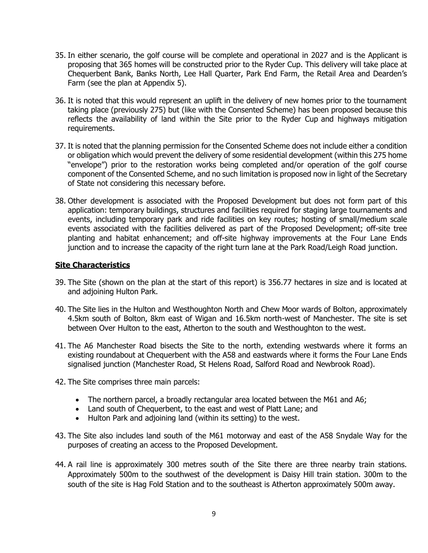- 35. In either scenario, the golf course will be complete and operational in 2027 and is the Applicant is proposing that 365 homes will be constructed prior to the Ryder Cup. This delivery will take place at Chequerbent Bank, Banks North, Lee Hall Quarter, Park End Farm, the Retail Area and Dearden's Farm (see the plan at Appendix 5).
- 36. It is noted that this would represent an uplift in the delivery of new homes prior to the tournament taking place (previously 275) but (like with the Consented Scheme) has been proposed because this reflects the availability of land within the Site prior to the Ryder Cup and highways mitigation requirements.
- 37. It is noted that the planning permission for the Consented Scheme does not include either a condition or obligation which would prevent the delivery of some residential development (within this 275 home "envelope") prior to the restoration works being completed and/or operation of the golf course component of the Consented Scheme, and no such limitation is proposed now in light of the Secretary of State not considering this necessary before.
- 38. Other development is associated with the Proposed Development but does not form part of this application: temporary buildings, structures and facilities required for staging large tournaments and events, including temporary park and ride facilities on key routes; hosting of small/medium scale events associated with the facilities delivered as part of the Proposed Development; off-site tree planting and habitat enhancement; and off-site highway improvements at the Four Lane Ends junction and to increase the capacity of the right turn lane at the Park Road/Leigh Road junction.

# **Site Characteristics**

- 39. The Site (shown on the plan at the start of this report) is 356.77 hectares in size and is located at and adjoining Hulton Park.
- 40. The Site lies in the Hulton and Westhoughton North and Chew Moor wards of Bolton, approximately 4.5km south of Bolton, 8km east of Wigan and 16.5km north-west of Manchester. The site is set between Over Hulton to the east, Atherton to the south and Westhoughton to the west.
- 41. The A6 Manchester Road bisects the Site to the north, extending westwards where it forms an existing roundabout at Chequerbent with the A58 and eastwards where it forms the Four Lane Ends signalised junction (Manchester Road, St Helens Road, Salford Road and Newbrook Road).
- 42. The Site comprises three main parcels:
	- The northern parcel, a broadly rectangular area located between the M61 and A6;
	- Land south of Chequerbent, to the east and west of Platt Lane; and
	- Hulton Park and adjoining land (within its setting) to the west.
- 43. The Site also includes land south of the M61 motorway and east of the A58 Snydale Way for the purposes of creating an access to the Proposed Development.
- 44. A rail line is approximately 300 metres south of the Site there are three nearby train stations. Approximately 500m to the southwest of the development is Daisy Hill train station. 300m to the south of the site is Hag Fold Station and to the southeast is Atherton approximately 500m away.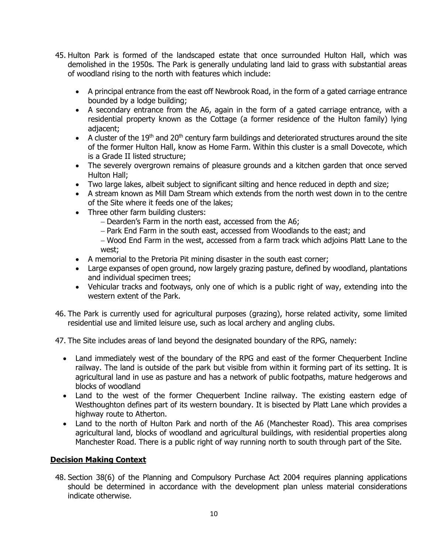- 45. Hulton Park is formed of the landscaped estate that once surrounded Hulton Hall, which was demolished in the 1950s. The Park is generally undulating land laid to grass with substantial areas of woodland rising to the north with features which include:
	- A principal entrance from the east off Newbrook Road, in the form of a gated carriage entrance bounded by a lodge building;
	- A secondary entrance from the A6, again in the form of a gated carriage entrance, with a residential property known as the Cottage (a former residence of the Hulton family) lying adjacent;
	- A cluster of the  $19<sup>th</sup>$  and  $20<sup>th</sup>$  century farm buildings and deteriorated structures around the site of the former Hulton Hall, know as Home Farm. Within this cluster is a small Dovecote, which is a Grade II listed structure;
	- The severely overgrown remains of pleasure grounds and a kitchen garden that once served Hulton Hall;
	- Two large lakes, albeit subject to significant silting and hence reduced in depth and size;
	- A stream known as Mill Dam Stream which extends from the north west down in to the centre of the Site where it feeds one of the lakes;
	- Three other farm building clusters:
		- − Dearden's Farm in the north east, accessed from the A6;
		- − Park End Farm in the south east, accessed from Woodlands to the east; and
		- − Wood End Farm in the west, accessed from a farm track which adjoins Platt Lane to the west;
	- A memorial to the Pretoria Pit mining disaster in the south east corner;
	- Large expanses of open ground, now largely grazing pasture, defined by woodland, plantations and individual specimen trees;
	- Vehicular tracks and footways, only one of which is a public right of way, extending into the western extent of the Park.
- 46. The Park is currently used for agricultural purposes (grazing), horse related activity, some limited residential use and limited leisure use, such as local archery and angling clubs.
- 47. The Site includes areas of land beyond the designated boundary of the RPG, namely:
	- Land immediately west of the boundary of the RPG and east of the former Chequerbent Incline railway. The land is outside of the park but visible from within it forming part of its setting. It is agricultural land in use as pasture and has a network of public footpaths, mature hedgerows and blocks of woodland
	- Land to the west of the former Chequerbent Incline railway. The existing eastern edge of Westhoughton defines part of its western boundary. It is bisected by Platt Lane which provides a highway route to Atherton.
	- Land to the north of Hulton Park and north of the A6 (Manchester Road). This area comprises agricultural land, blocks of woodland and agricultural buildings, with residential properties along Manchester Road. There is a public right of way running north to south through part of the Site.

# **Decision Making Context**

48. Section 38(6) of the Planning and Compulsory Purchase Act 2004 requires planning applications should be determined in accordance with the development plan unless material considerations indicate otherwise.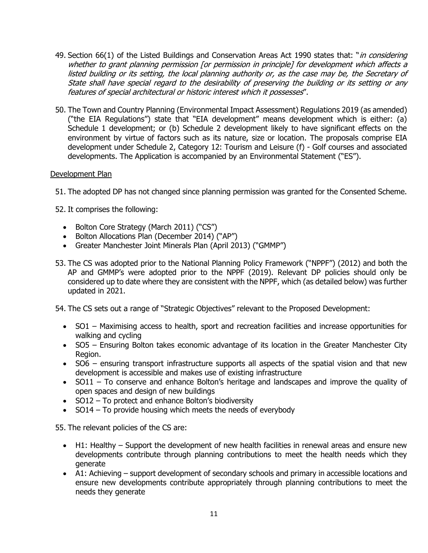- 49. Section 66(1) of the Listed Buildings and Conservation Areas Act 1990 states that: "*in considering* whether to grant planning permission [or permission in principle] for development which affects a listed building or its setting, the local planning authority or, as the case may be, the Secretary of State shall have special regard to the desirability of preserving the building or its setting or any features of special architectural or historic interest which it possesses".
- 50. The Town and Country Planning (Environmental Impact Assessment) Regulations 2019 (as amended) ("the EIA Regulations") state that "EIA development" means development which is either: (a) Schedule 1 development; or (b) Schedule 2 development likely to have significant effects on the environment by virtue of factors such as its nature, size or location. The proposals comprise EIA development under Schedule 2, Category 12: Tourism and Leisure (f) - Golf courses and associated developments. The Application is accompanied by an Environmental Statement ("ES").

# Development Plan

51. The adopted DP has not changed since planning permission was granted for the Consented Scheme.

52. It comprises the following:

- Bolton Core Strategy (March 2011) ("CS")
- Bolton Allocations Plan (December 2014) ("AP")
- Greater Manchester Joint Minerals Plan (April 2013) ("GMMP")
- 53. The CS was adopted prior to the National Planning Policy Framework ("NPPF") (2012) and both the AP and GMMP's were adopted prior to the NPPF (2019). Relevant DP policies should only be considered up to date where they are consistent with the NPPF, which (as detailed below) was further updated in 2021.
- 54. The CS sets out a range of "Strategic Objectives" relevant to the Proposed Development:
	- SO1 Maximising access to health, sport and recreation facilities and increase opportunities for walking and cycling
	- SO5 Ensuring Bolton takes economic advantage of its location in the Greater Manchester City Region.
	- SO6 ensuring transport infrastructure supports all aspects of the spatial vision and that new development is accessible and makes use of existing infrastructure
	- SO11 To conserve and enhance Bolton's heritage and landscapes and improve the quality of open spaces and design of new buildings
	- SO12 To protect and enhance Bolton's biodiversity
	- SO14 To provide housing which meets the needs of everybody

55. The relevant policies of the CS are:

- H1: Healthy Support the development of new health facilities in renewal areas and ensure new developments contribute through planning contributions to meet the health needs which they generate
- A1: Achieving support development of secondary schools and primary in accessible locations and ensure new developments contribute appropriately through planning contributions to meet the needs they generate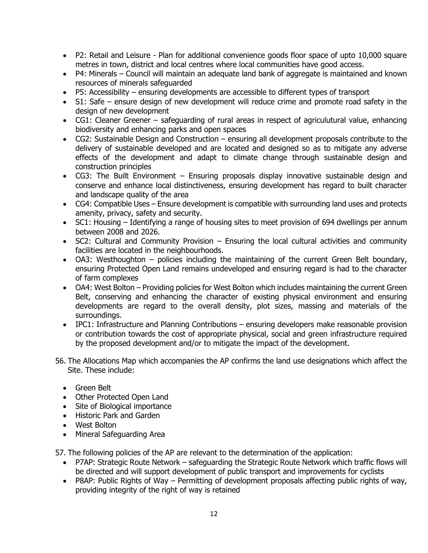- P2: Retail and Leisure Plan for additional convenience goods floor space of upto 10,000 square metres in town, district and local centres where local communities have good access.
- P4: Minerals Council will maintain an adequate land bank of aggregate is maintained and known resources of minerals safeguarded
- P5: Accessibility ensuring developments are accessible to different types of transport
- S1: Safe ensure design of new development will reduce crime and promote road safety in the design of new development
- CG1: Cleaner Greener safeguarding of rural areas in respect of agriculutural value, enhancing biodiversity and enhancing parks and open spaces
- CG2: Sustainable Design and Construction ensuring all development proposals contribute to the delivery of sustainable developed and are located and designed so as to mitigate any adverse effects of the development and adapt to climate change through sustainable design and construction principles
- CG3: The Built Environment Ensuring proposals display innovative sustainable design and conserve and enhance local distinctiveness, ensuring development has regard to built character and landscape quality of the area
- CG4: Compatible Uses Ensure development is compatible with surrounding land uses and protects amenity, privacy, safety and security.
- SC1: Housing Identifying a range of housing sites to meet provision of 694 dwellings per annum between 2008 and 2026.
- SC2: Cultural and Community Provision Ensuring the local cultural activities and community facilities are located in the neighbourhoods.
- OA3: Westhoughton policies including the maintaining of the current Green Belt boundary, ensuring Protected Open Land remains undeveloped and ensuring regard is had to the character of farm complexes
- OA4: West Bolton Providing policies for West Bolton which includes maintaining the current Green Belt, conserving and enhancing the character of existing physical environment and ensuring developments are regard to the overall density, plot sizes, massing and materials of the surroundings.
- IPC1: Infrastructure and Planning Contributions ensuring developers make reasonable provision or contribution towards the cost of appropriate physical, social and green infrastructure required by the proposed development and/or to mitigate the impact of the development.
- 56. The Allocations Map which accompanies the AP confirms the land use designations which affect the Site. These include:
	- Green Belt
	- Other Protected Open Land
	- Site of Biological importance
	- Historic Park and Garden
	- West Bolton
	- Mineral Safeguarding Area

57. The following policies of the AP are relevant to the determination of the application:

- P7AP: Strategic Route Network safeguarding the Strategic Route Network which traffic flows will be directed and will support development of public transport and improvements for cyclists
- P8AP: Public Rights of Way Permitting of development proposals affecting public rights of way, providing integrity of the right of way is retained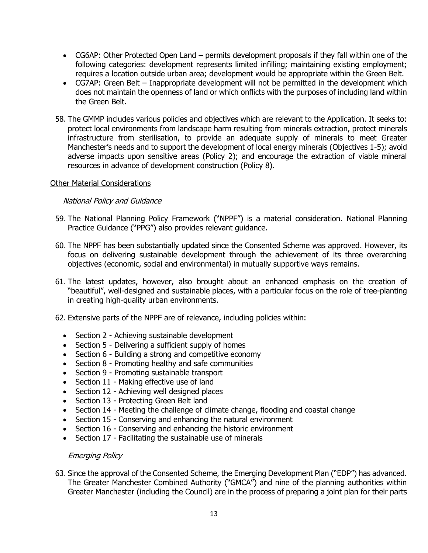- CG6AP: Other Protected Open Land permits development proposals if they fall within one of the following categories: development represents limited infilling; maintaining existing employment; requires a location outside urban area; development would be appropriate within the Green Belt.
- CG7AP: Green Belt Inappropriate development will not be permitted in the development which does not maintain the openness of land or which onflicts with the purposes of including land within the Green Belt.
- 58. The GMMP includes various policies and objectives which are relevant to the Application. It seeks to: protect local environments from landscape harm resulting from minerals extraction, protect minerals infrastructure from sterilisation, to provide an adequate supply of minerals to meet Greater Manchester's needs and to support the development of local energy minerals (Objectives 1-5); avoid adverse impacts upon sensitive areas (Policy 2); and encourage the extraction of viable mineral resources in advance of development construction (Policy 8).

#### Other Material Considerations

# National Policy and Guidance

- 59. The National Planning Policy Framework ("NPPF") is a material consideration. National Planning Practice Guidance ("PPG") also provides relevant guidance.
- 60. The NPPF has been substantially updated since the Consented Scheme was approved. However, its focus on delivering sustainable development through the achievement of its three overarching objectives (economic, social and environmental) in mutually supportive ways remains.
- 61. The latest updates, however, also brought about an enhanced emphasis on the creation of "beautiful", well-designed and sustainable places, with a particular focus on the role of tree-planting in creating high-quality urban environments.
- 62. Extensive parts of the NPPF are of relevance, including policies within:
	- Section 2 Achieving sustainable development
	- Section 5 Delivering a sufficient supply of homes
	- Section 6 Building a strong and competitive economy
	- Section 8 Promoting healthy and safe communities
	- Section 9 Promoting sustainable transport
	- Section 11 Making effective use of land
	- Section 12 Achieving well designed places
	- Section 13 Protecting Green Belt land
	- Section 14 Meeting the challenge of climate change, flooding and coastal change
	- Section 15 Conserving and enhancing the natural environment
	- Section 16 Conserving and enhancing the historic environment
	- Section 17 Facilitating the sustainable use of minerals

#### Emerging Policy

63. Since the approval of the Consented Scheme, the Emerging Development Plan ("EDP") has advanced. The Greater Manchester Combined Authority ("GMCA") and nine of the planning authorities within Greater Manchester (including the Council) are in the process of preparing a joint plan for their parts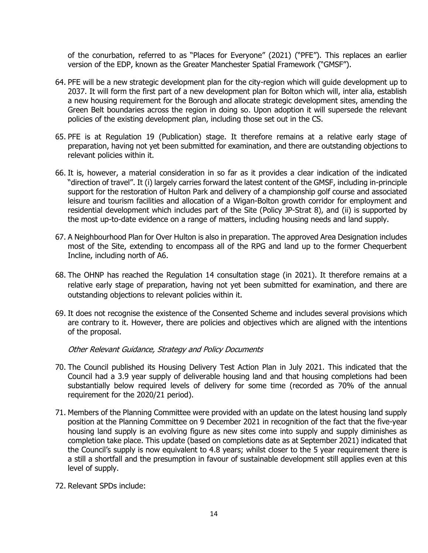of the conurbation, referred to as "Places for Everyone" (2021) ("PFE"). This replaces an earlier version of the EDP, known as the Greater Manchester Spatial Framework ("GMSF").

- 64. PFE will be a new strategic development plan for the city-region which will guide development up to 2037. It will form the first part of a new development plan for Bolton which will, inter alia, establish a new housing requirement for the Borough and allocate strategic development sites, amending the Green Belt boundaries across the region in doing so. Upon adoption it will supersede the relevant policies of the existing development plan, including those set out in the CS.
- 65. PFE is at Regulation 19 (Publication) stage. It therefore remains at a relative early stage of preparation, having not yet been submitted for examination, and there are outstanding objections to relevant policies within it.
- 66. It is, however, a material consideration in so far as it provides a clear indication of the indicated "direction of travel". It (i) largely carries forward the latest content of the GMSF, including in-principle support for the restoration of Hulton Park and delivery of a championship golf course and associated leisure and tourism facilities and allocation of a Wigan-Bolton growth corridor for employment and residential development which includes part of the Site (Policy JP-Strat 8), and (ii) is supported by the most up-to-date evidence on a range of matters, including housing needs and land supply.
- 67. A Neighbourhood Plan for Over Hulton is also in preparation. The approved Area Designation includes most of the Site, extending to encompass all of the RPG and land up to the former Chequerbent Incline, including north of A6.
- 68. The OHNP has reached the Regulation 14 consultation stage (in 2021). It therefore remains at a relative early stage of preparation, having not yet been submitted for examination, and there are outstanding objections to relevant policies within it.
- 69. It does not recognise the existence of the Consented Scheme and includes several provisions which are contrary to it. However, there are policies and objectives which are aligned with the intentions of the proposal.

Other Relevant Guidance, Strategy and Policy Documents

- 70. The Council published its Housing Delivery Test Action Plan in July 2021. This indicated that the Council had a 3.9 year supply of deliverable housing land and that housing completions had been substantially below required levels of delivery for some time (recorded as 70% of the annual requirement for the 2020/21 period).
- 71. Members of the Planning Committee were provided with an update on the latest housing land supply position at the Planning Committee on 9 December 2021 in recognition of the fact that the five-year housing land supply is an evolving figure as new sites come into supply and supply diminishes as completion take place. This update (based on completions date as at September 2021) indicated that the Council's supply is now equivalent to 4.8 years; whilst closer to the 5 year requirement there is a still a shortfall and the presumption in favour of sustainable development still applies even at this level of supply.
- 72. Relevant SPDs include: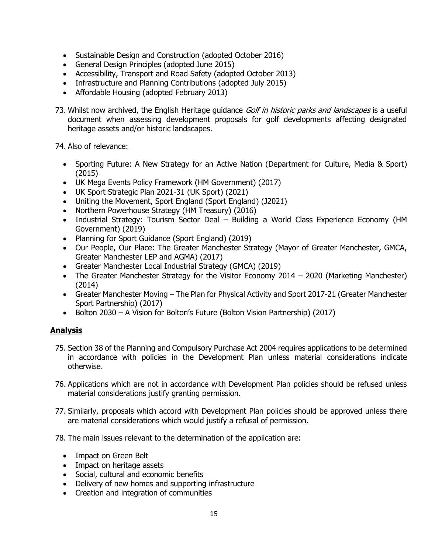- Sustainable Design and Construction (adopted October 2016)
- General Design Principles (adopted June 2015)
- Accessibility, Transport and Road Safety (adopted October 2013)
- Infrastructure and Planning Contributions (adopted July 2015)
- Affordable Housing (adopted February 2013)
- 73. Whilst now archived, the English Heritage guidance Golf in historic parks and landscapes is a useful document when assessing development proposals for golf developments affecting designated heritage assets and/or historic landscapes.

74. Also of relevance:

- Sporting Future: A New Strategy for an Active Nation (Department for Culture, Media & Sport) (2015)
- UK Mega Events Policy Framework (HM Government) (2017)
- UK Sport Strategic Plan 2021-31 (UK Sport) (2021)
- Uniting the Movement, Sport England (Sport England) (J2021)
- Northern Powerhouse Strategy (HM Treasury) (2016)
- Industrial Strategy: Tourism Sector Deal Building a World Class Experience Economy (HM Government) (2019)
- Planning for Sport Guidance (Sport England) (2019)
- Our People, Our Place: The Greater Manchester Strategy (Mayor of Greater Manchester, GMCA, Greater Manchester LEP and AGMA) (2017)
- Greater Manchester Local Industrial Strategy (GMCA) (2019)
- The Greater Manchester Strategy for the Visitor Economy 2014 2020 (Marketing Manchester) (2014)
- Greater Manchester Moving The Plan for Physical Activity and Sport 2017-21 (Greater Manchester Sport Partnership) (2017)
- Bolton 2030 A Vision for Bolton's Future (Bolton Vision Partnership) (2017)

# **Analysis**

- 75. Section 38 of the Planning and Compulsory Purchase Act 2004 requires applications to be determined in accordance with policies in the Development Plan unless material considerations indicate otherwise.
- 76. Applications which are not in accordance with Development Plan policies should be refused unless material considerations justify granting permission.
- 77. Similarly, proposals which accord with Development Plan policies should be approved unless there are material considerations which would justify a refusal of permission.
- 78. The main issues relevant to the determination of the application are:
	- Impact on Green Belt
	- Impact on heritage assets
	- Social, cultural and economic benefits
	- Delivery of new homes and supporting infrastructure
	- Creation and integration of communities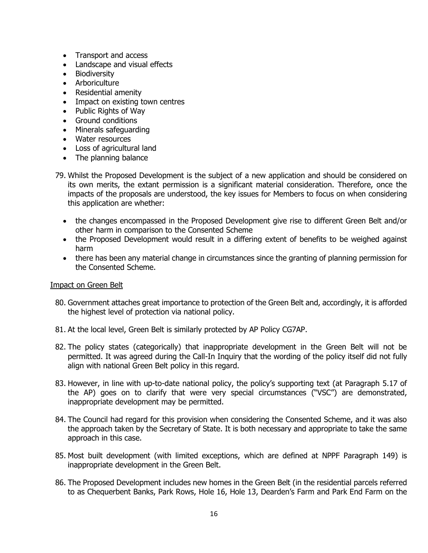- Transport and access
- Landscape and visual effects
- Biodiversity
- Arboriculture
- Residential amenity
- Impact on existing town centres
- Public Rights of Way
- Ground conditions
- Minerals safeguarding
- Water resources
- Loss of agricultural land
- The planning balance
- 79. Whilst the Proposed Development is the subject of a new application and should be considered on its own merits, the extant permission is a significant material consideration. Therefore, once the impacts of the proposals are understood, the key issues for Members to focus on when considering this application are whether:
	- the changes encompassed in the Proposed Development give rise to different Green Belt and/or other harm in comparison to the Consented Scheme
	- the Proposed Development would result in a differing extent of benefits to be weighed against harm
	- there has been any material change in circumstances since the granting of planning permission for the Consented Scheme.

# Impact on Green Belt

- 80. Government attaches great importance to protection of the Green Belt and, accordingly, it is afforded the highest level of protection via national policy.
- 81. At the local level, Green Belt is similarly protected by AP Policy CG7AP.
- 82. The policy states (categorically) that inappropriate development in the Green Belt will not be permitted. It was agreed during the Call-In Inquiry that the wording of the policy itself did not fully align with national Green Belt policy in this regard.
- 83. However, in line with up-to-date national policy, the policy's supporting text (at Paragraph 5.17 of the AP) goes on to clarify that were very special circumstances ("VSC") are demonstrated, inappropriate development may be permitted.
- 84. The Council had regard for this provision when considering the Consented Scheme, and it was also the approach taken by the Secretary of State. It is both necessary and appropriate to take the same approach in this case.
- 85. Most built development (with limited exceptions, which are defined at NPPF Paragraph 149) is inappropriate development in the Green Belt.
- 86. The Proposed Development includes new homes in the Green Belt (in the residential parcels referred to as Chequerbent Banks, Park Rows, Hole 16, Hole 13, Dearden's Farm and Park End Farm on the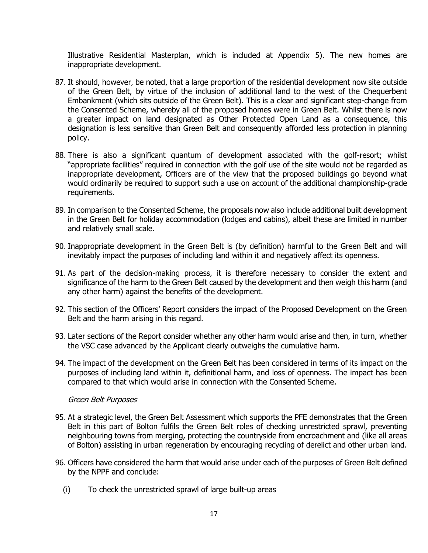Illustrative Residential Masterplan, which is included at Appendix 5). The new homes are inappropriate development.

- 87. It should, however, be noted, that a large proportion of the residential development now site outside of the Green Belt, by virtue of the inclusion of additional land to the west of the Chequerbent Embankment (which sits outside of the Green Belt). This is a clear and significant step-change from the Consented Scheme, whereby all of the proposed homes were in Green Belt. Whilst there is now a greater impact on land designated as Other Protected Open Land as a consequence, this designation is less sensitive than Green Belt and consequently afforded less protection in planning policy.
- 88. There is also a significant quantum of development associated with the golf-resort; whilst "appropriate facilities" required in connection with the golf use of the site would not be regarded as inappropriate development, Officers are of the view that the proposed buildings go beyond what would ordinarily be required to support such a use on account of the additional championship-grade requirements.
- 89. In comparison to the Consented Scheme, the proposals now also include additional built development in the Green Belt for holiday accommodation (lodges and cabins), albeit these are limited in number and relatively small scale.
- 90. Inappropriate development in the Green Belt is (by definition) harmful to the Green Belt and will inevitably impact the purposes of including land within it and negatively affect its openness.
- 91. As part of the decision-making process, it is therefore necessary to consider the extent and significance of the harm to the Green Belt caused by the development and then weigh this harm (and any other harm) against the benefits of the development.
- 92. This section of the Officers' Report considers the impact of the Proposed Development on the Green Belt and the harm arising in this regard.
- 93. Later sections of the Report consider whether any other harm would arise and then, in turn, whether the VSC case advanced by the Applicant clearly outweighs the cumulative harm.
- 94. The impact of the development on the Green Belt has been considered in terms of its impact on the purposes of including land within it, definitional harm, and loss of openness. The impact has been compared to that which would arise in connection with the Consented Scheme.

#### Green Belt Purposes

- 95. At a strategic level, the Green Belt Assessment which supports the PFE demonstrates that the Green Belt in this part of Bolton fulfils the Green Belt roles of checking unrestricted sprawl, preventing neighbouring towns from merging, protecting the countryside from encroachment and (like all areas of Bolton) assisting in urban regeneration by encouraging recycling of derelict and other urban land.
- 96. Officers have considered the harm that would arise under each of the purposes of Green Belt defined by the NPPF and conclude:
	- (i) To check the unrestricted sprawl of large built-up areas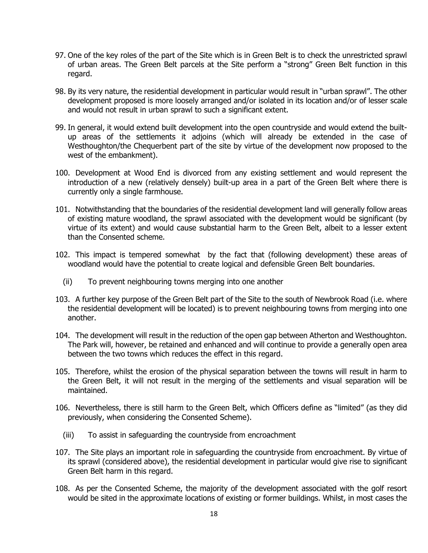- 97. One of the key roles of the part of the Site which is in Green Belt is to check the unrestricted sprawl of urban areas. The Green Belt parcels at the Site perform a "strong" Green Belt function in this regard.
- 98. By its very nature, the residential development in particular would result in "urban sprawl". The other development proposed is more loosely arranged and/or isolated in its location and/or of lesser scale and would not result in urban sprawl to such a significant extent.
- 99. In general, it would extend built development into the open countryside and would extend the builtup areas of the settlements it adjoins (which will already be extended in the case of Westhoughton/the Chequerbent part of the site by virtue of the development now proposed to the west of the embankment).
- 100. Development at Wood End is divorced from any existing settlement and would represent the introduction of a new (relatively densely) built-up area in a part of the Green Belt where there is currently only a single farmhouse.
- 101. Notwithstanding that the boundaries of the residential development land will generally follow areas of existing mature woodland, the sprawl associated with the development would be significant (by virtue of its extent) and would cause substantial harm to the Green Belt, albeit to a lesser extent than the Consented scheme.
- 102. This impact is tempered somewhat by the fact that (following development) these areas of woodland would have the potential to create logical and defensible Green Belt boundaries.
	- (ii) To prevent neighbouring towns merging into one another
- 103. A further key purpose of the Green Belt part of the Site to the south of Newbrook Road (i.e. where the residential development will be located) is to prevent neighbouring towns from merging into one another.
- 104. The development will result in the reduction of the open gap between Atherton and Westhoughton. The Park will, however, be retained and enhanced and will continue to provide a generally open area between the two towns which reduces the effect in this regard.
- 105. Therefore, whilst the erosion of the physical separation between the towns will result in harm to the Green Belt, it will not result in the merging of the settlements and visual separation will be maintained.
- 106. Nevertheless, there is still harm to the Green Belt, which Officers define as "limited" (as they did previously, when considering the Consented Scheme).
	- (iii) To assist in safeguarding the countryside from encroachment
- 107. The Site plays an important role in safeguarding the countryside from encroachment. By virtue of its sprawl (considered above), the residential development in particular would give rise to significant Green Belt harm in this regard.
- 108. As per the Consented Scheme, the majority of the development associated with the golf resort would be sited in the approximate locations of existing or former buildings. Whilst, in most cases the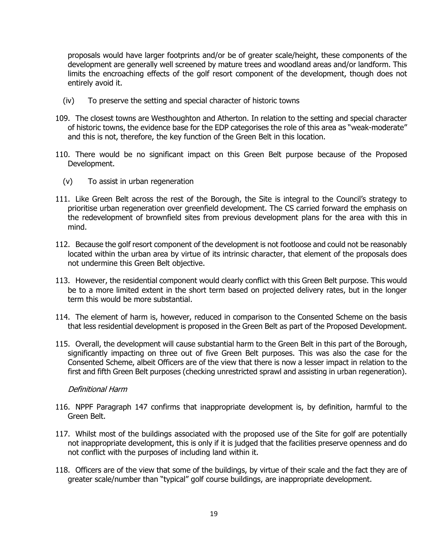proposals would have larger footprints and/or be of greater scale/height, these components of the development are generally well screened by mature trees and woodland areas and/or landform. This limits the encroaching effects of the golf resort component of the development, though does not entirely avoid it.

- (iv) To preserve the setting and special character of historic towns
- 109. The closest towns are Westhoughton and Atherton. In relation to the setting and special character of historic towns, the evidence base for the EDP categorises the role of this area as "weak-moderate" and this is not, therefore, the key function of the Green Belt in this location.
- 110. There would be no significant impact on this Green Belt purpose because of the Proposed Development.
	- (v) To assist in urban regeneration
- 111. Like Green Belt across the rest of the Borough, the Site is integral to the Council's strategy to prioritise urban regeneration over greenfield development. The CS carried forward the emphasis on the redevelopment of brownfield sites from previous development plans for the area with this in mind.
- 112. Because the golf resort component of the development is not footloose and could not be reasonably located within the urban area by virtue of its intrinsic character, that element of the proposals does not undermine this Green Belt objective.
- 113. However, the residential component would clearly conflict with this Green Belt purpose. This would be to a more limited extent in the short term based on projected delivery rates, but in the longer term this would be more substantial.
- 114. The element of harm is, however, reduced in comparison to the Consented Scheme on the basis that less residential development is proposed in the Green Belt as part of the Proposed Development.
- 115. Overall, the development will cause substantial harm to the Green Belt in this part of the Borough, significantly impacting on three out of five Green Belt purposes. This was also the case for the Consented Scheme, albeit Officers are of the view that there is now a lesser impact in relation to the first and fifth Green Belt purposes (checking unrestricted sprawl and assisting in urban regeneration).

#### Definitional Harm

- 116. NPPF Paragraph 147 confirms that inappropriate development is, by definition, harmful to the Green Belt.
- 117. Whilst most of the buildings associated with the proposed use of the Site for golf are potentially not inappropriate development, this is only if it is judged that the facilities preserve openness and do not conflict with the purposes of including land within it.
- 118. Officers are of the view that some of the buildings, by virtue of their scale and the fact they are of greater scale/number than "typical" golf course buildings, are inappropriate development.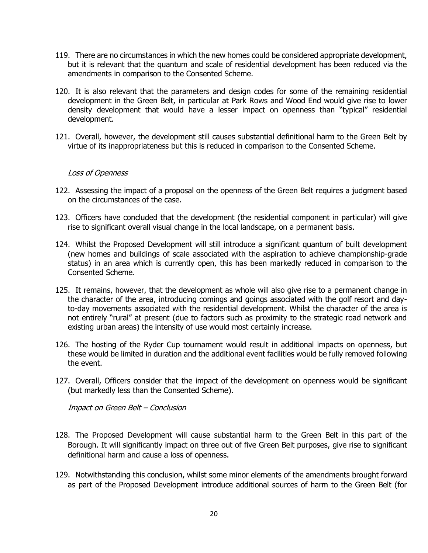- 119. There are no circumstances in which the new homes could be considered appropriate development, but it is relevant that the quantum and scale of residential development has been reduced via the amendments in comparison to the Consented Scheme.
- 120. It is also relevant that the parameters and design codes for some of the remaining residential development in the Green Belt, in particular at Park Rows and Wood End would give rise to lower density development that would have a lesser impact on openness than "typical" residential development.
- 121. Overall, however, the development still causes substantial definitional harm to the Green Belt by virtue of its inappropriateness but this is reduced in comparison to the Consented Scheme.

#### Loss of Openness

- 122. Assessing the impact of a proposal on the openness of the Green Belt requires a judgment based on the circumstances of the case.
- 123. Officers have concluded that the development (the residential component in particular) will give rise to significant overall visual change in the local landscape, on a permanent basis.
- 124. Whilst the Proposed Development will still introduce a significant quantum of built development (new homes and buildings of scale associated with the aspiration to achieve championship-grade status) in an area which is currently open, this has been markedly reduced in comparison to the Consented Scheme.
- 125. It remains, however, that the development as whole will also give rise to a permanent change in the character of the area, introducing comings and goings associated with the golf resort and dayto-day movements associated with the residential development. Whilst the character of the area is not entirely "rural" at present (due to factors such as proximity to the strategic road network and existing urban areas) the intensity of use would most certainly increase.
- 126. The hosting of the Ryder Cup tournament would result in additional impacts on openness, but these would be limited in duration and the additional event facilities would be fully removed following the event.
- 127. Overall, Officers consider that the impact of the development on openness would be significant (but markedly less than the Consented Scheme).

Impact on Green Belt – Conclusion

- 128. The Proposed Development will cause substantial harm to the Green Belt in this part of the Borough. It will significantly impact on three out of five Green Belt purposes, give rise to significant definitional harm and cause a loss of openness.
- 129. Notwithstanding this conclusion, whilst some minor elements of the amendments brought forward as part of the Proposed Development introduce additional sources of harm to the Green Belt (for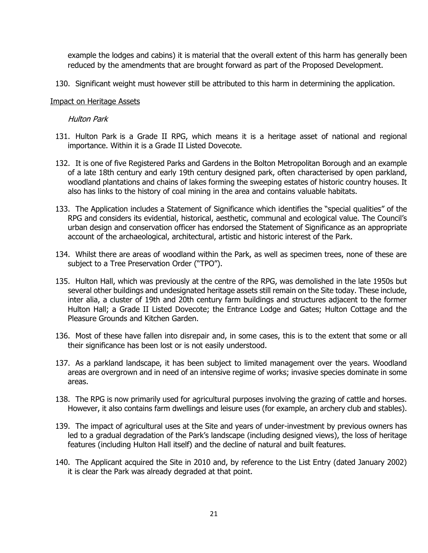example the lodges and cabins) it is material that the overall extent of this harm has generally been reduced by the amendments that are brought forward as part of the Proposed Development.

130. Significant weight must however still be attributed to this harm in determining the application.

#### Impact on Heritage Assets

#### Hulton Park

- 131. Hulton Park is a Grade II RPG, which means it is a heritage asset of national and regional importance. Within it is a Grade II Listed Dovecote.
- 132. It is one of five Registered Parks and Gardens in the Bolton Metropolitan Borough and an example of a late 18th century and early 19th century designed park, often characterised by open parkland, woodland plantations and chains of lakes forming the sweeping estates of historic country houses. It also has links to the history of coal mining in the area and contains valuable habitats.
- 133. The Application includes a Statement of Significance which identifies the "special qualities" of the RPG and considers its evidential, historical, aesthetic, communal and ecological value. The Council's urban design and conservation officer has endorsed the Statement of Significance as an appropriate account of the archaeological, architectural, artistic and historic interest of the Park.
- 134. Whilst there are areas of woodland within the Park, as well as specimen trees, none of these are subject to a Tree Preservation Order ("TPO").
- 135. Hulton Hall, which was previously at the centre of the RPG, was demolished in the late 1950s but several other buildings and undesignated heritage assets still remain on the Site today. These include, inter alia, a cluster of 19th and 20th century farm buildings and structures adjacent to the former Hulton Hall; a Grade II Listed Dovecote; the Entrance Lodge and Gates; Hulton Cottage and the Pleasure Grounds and Kitchen Garden.
- 136. Most of these have fallen into disrepair and, in some cases, this is to the extent that some or all their significance has been lost or is not easily understood.
- 137. As a parkland landscape, it has been subject to limited management over the years. Woodland areas are overgrown and in need of an intensive regime of works; invasive species dominate in some areas.
- 138. The RPG is now primarily used for agricultural purposes involving the grazing of cattle and horses. However, it also contains farm dwellings and leisure uses (for example, an archery club and stables).
- 139. The impact of agricultural uses at the Site and years of under-investment by previous owners has led to a gradual degradation of the Park's landscape (including designed views), the loss of heritage features (including Hulton Hall itself) and the decline of natural and built features.
- 140. The Applicant acquired the Site in 2010 and, by reference to the List Entry (dated January 2002) it is clear the Park was already degraded at that point.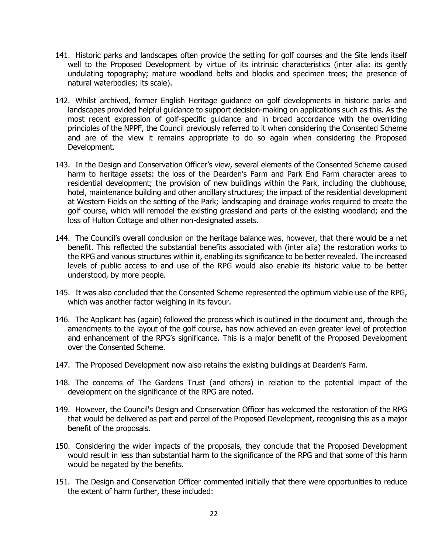- 141. Historic parks and landscapes often provide the setting for golf courses and the Site lends itself well to the Proposed Development by virtue of its intrinsic characteristics (inter alia: its gently undulating topography; mature woodland belts and blocks and specimen trees; the presence of natural waterbodies; its scale).
- 142. Whilst archived, former English Heritage guidance on golf developments in historic parks and landscapes provided helpful guidance to support decision-making on applications such as this. As the most recent expression of golf-specific guidance and in broad accordance with the overriding principles of the NPPF, the Council previously referred to it when considering the Consented Scheme and are of the view it remains appropriate to do so again when considering the Proposed Development.
- 143. In the Design and Conservation Officer's view, several elements of the Consented Scheme caused harm to heritage assets: the loss of the Dearden's Farm and Park End Farm character areas to residential development; the provision of new buildings within the Park, including the clubhouse, hotel, maintenance building and other ancillary structures; the impact of the residential development at Western Fields on the setting of the Park; landscaping and drainage works required to create the golf course, which will remodel the existing grassland and parts of the existing woodland; and the loss of Hulton Cottage and other non-designated assets.
- 144. The Council's overall conclusion on the heritage balance was, however, that there would be a net benefit. This reflected the substantial benefits associated with (inter alia) the restoration works to the RPG and various structures within it, enabling its significance to be better revealed. The increased levels of public access to and use of the RPG would also enable its historic value to be better understood, by more people.
- 145. It was also concluded that the Consented Scheme represented the optimum viable use of the RPG, which was another factor weighing in its favour.
- 146. The Applicant has (again) followed the process which is outlined in the document and, through the amendments to the layout of the golf course, has now achieved an even greater level of protection and enhancement of the RPG's significance. This is a major benefit of the Proposed Development over the Consented Scheme.
- 147. The Proposed Development now also retains the existing buildings at Dearden's Farm.
- 148. The concerns of The Gardens Trust (and others) in relation to the potential impact of the development on the significance of the RPG are noted.
- 149. However, the Council's Design and Conservation Officer has welcomed the restoration of the RPG that would be delivered as part and parcel of the Proposed Development, recognising this as a major benefit of the proposals.
- 150. Considering the wider impacts of the proposals, they conclude that the Proposed Development would result in less than substantial harm to the significance of the RPG and that some of this harm would be negated by the benefits.
- 151. The Design and Conservation Officer commented initially that there were opportunities to reduce the extent of harm further, these included: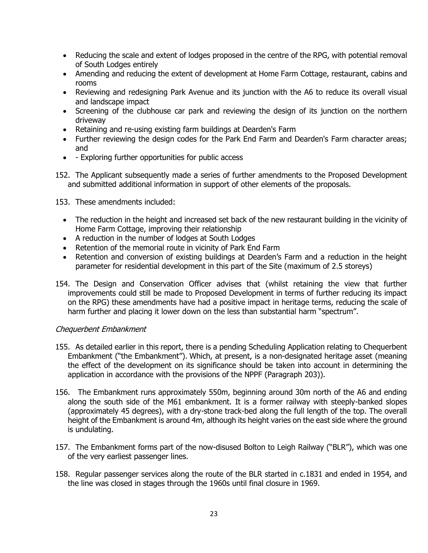- Reducing the scale and extent of lodges proposed in the centre of the RPG, with potential removal of South Lodges entirely
- Amending and reducing the extent of development at Home Farm Cottage, restaurant, cabins and rooms
- Reviewing and redesigning Park Avenue and its junction with the A6 to reduce its overall visual and landscape impact
- Screening of the clubhouse car park and reviewing the design of its junction on the northern driveway
- Retaining and re-using existing farm buildings at Dearden's Farm
- Further reviewing the design codes for the Park End Farm and Dearden's Farm character areas; and
- - Exploring further opportunities for public access
- 152. The Applicant subsequently made a series of further amendments to the Proposed Development and submitted additional information in support of other elements of the proposals.

153. These amendments included:

- The reduction in the height and increased set back of the new restaurant building in the vicinity of Home Farm Cottage, improving their relationship
- A reduction in the number of lodges at South Lodges
- Retention of the memorial route in vicinity of Park End Farm
- Retention and conversion of existing buildings at Dearden's Farm and a reduction in the height parameter for residential development in this part of the Site (maximum of 2.5 storeys)
- 154. The Design and Conservation Officer advises that (whilst retaining the view that further improvements could still be made to Proposed Development in terms of further reducing its impact on the RPG) these amendments have had a positive impact in heritage terms, reducing the scale of harm further and placing it lower down on the less than substantial harm "spectrum".

# Chequerbent Embankment

- 155. As detailed earlier in this report, there is a pending Scheduling Application relating to Chequerbent Embankment ("the Embankment"). Which, at present, is a non-designated heritage asset (meaning the effect of the development on its significance should be taken into account in determining the application in accordance with the provisions of the NPPF (Paragraph 203)).
- 156. The Embankment runs approximately 550m, beginning around 30m north of the A6 and ending along the south side of the M61 embankment. It is a former railway with steeply-banked slopes (approximately 45 degrees), with a dry-stone track-bed along the full length of the top. The overall height of the Embankment is around 4m, although its height varies on the east side where the ground is undulating.
- 157. The Embankment forms part of the now-disused Bolton to Leigh Railway ("BLR"), which was one of the very earliest passenger lines.
- 158. Regular passenger services along the route of the BLR started in c.1831 and ended in 1954, and the line was closed in stages through the 1960s until final closure in 1969.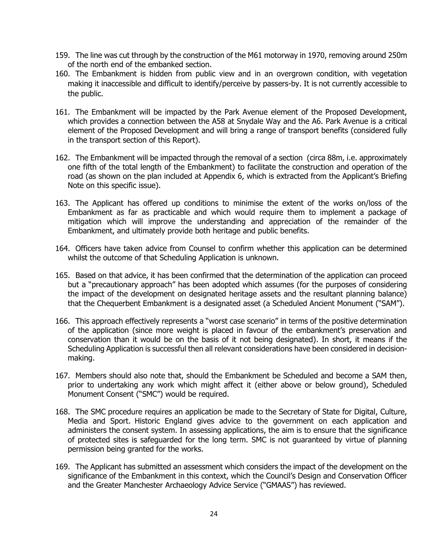- 159. The line was cut through by the construction of the M61 motorway in 1970, removing around 250m of the north end of the embanked section.
- 160. The Embankment is hidden from public view and in an overgrown condition, with vegetation making it inaccessible and difficult to identify/perceive by passers-by. It is not currently accessible to the public.
- 161. The Embankment will be impacted by the Park Avenue element of the Proposed Development, which provides a connection between the A58 at Snydale Way and the A6. Park Avenue is a critical element of the Proposed Development and will bring a range of transport benefits (considered fully in the transport section of this Report).
- 162. The Embankment will be impacted through the removal of a section (circa 88m, i.e. approximately one fifth of the total length of the Embankment) to facilitate the construction and operation of the road (as shown on the plan included at Appendix 6, which is extracted from the Applicant's Briefing Note on this specific issue).
- 163. The Applicant has offered up conditions to minimise the extent of the works on/loss of the Embankment as far as practicable and which would require them to implement a package of mitigation which will improve the understanding and appreciation of the remainder of the Embankment, and ultimately provide both heritage and public benefits.
- 164. Officers have taken advice from Counsel to confirm whether this application can be determined whilst the outcome of that Scheduling Application is unknown.
- 165. Based on that advice, it has been confirmed that the determination of the application can proceed but a "precautionary approach" has been adopted which assumes (for the purposes of considering the impact of the development on designated heritage assets and the resultant planning balance) that the Chequerbent Embankment is a designated asset (a Scheduled Ancient Monument ("SAM").
- 166. This approach effectively represents a "worst case scenario" in terms of the positive determination of the application (since more weight is placed in favour of the embankment's preservation and conservation than it would be on the basis of it not being designated). In short, it means if the Scheduling Application is successful then all relevant considerations have been considered in decisionmaking.
- 167. Members should also note that, should the Embankment be Scheduled and become a SAM then, prior to undertaking any work which might affect it (either above or below ground), Scheduled Monument Consent ("SMC") would be required.
- 168. The SMC procedure requires an application be made to the Secretary of State for Digital, Culture, Media and Sport. Historic England gives advice to the government on each application and administers the consent system. In assessing applications, the aim is to ensure that the significance of protected sites is safeguarded for the long term. SMC is not guaranteed by virtue of planning permission being granted for the works.
- 169. The Applicant has submitted an assessment which considers the impact of the development on the significance of the Embankment in this context, which the Council's Design and Conservation Officer and the Greater Manchester Archaeology Advice Service ("GMAAS") has reviewed.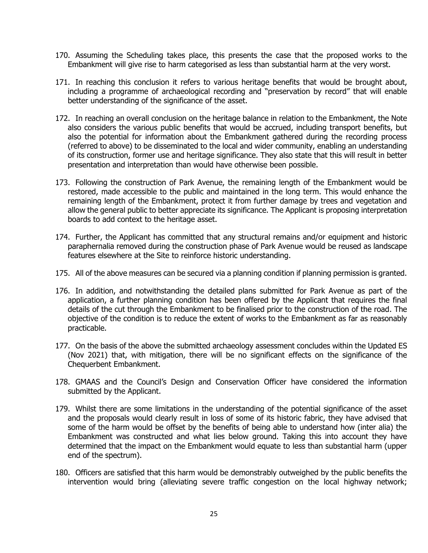- 170. Assuming the Scheduling takes place, this presents the case that the proposed works to the Embankment will give rise to harm categorised as less than substantial harm at the very worst.
- 171. In reaching this conclusion it refers to various heritage benefits that would be brought about, including a programme of archaeological recording and "preservation by record" that will enable better understanding of the significance of the asset.
- 172. In reaching an overall conclusion on the heritage balance in relation to the Embankment, the Note also considers the various public benefits that would be accrued, including transport benefits, but also the potential for information about the Embankment gathered during the recording process (referred to above) to be disseminated to the local and wider community, enabling an understanding of its construction, former use and heritage significance. They also state that this will result in better presentation and interpretation than would have otherwise been possible.
- 173. Following the construction of Park Avenue, the remaining length of the Embankment would be restored, made accessible to the public and maintained in the long term. This would enhance the remaining length of the Embankment, protect it from further damage by trees and vegetation and allow the general public to better appreciate its significance. The Applicant is proposing interpretation boards to add context to the heritage asset.
- 174. Further, the Applicant has committed that any structural remains and/or equipment and historic paraphernalia removed during the construction phase of Park Avenue would be reused as landscape features elsewhere at the Site to reinforce historic understanding.
- 175. All of the above measures can be secured via a planning condition if planning permission is granted.
- 176. In addition, and notwithstanding the detailed plans submitted for Park Avenue as part of the application, a further planning condition has been offered by the Applicant that requires the final details of the cut through the Embankment to be finalised prior to the construction of the road. The objective of the condition is to reduce the extent of works to the Embankment as far as reasonably practicable.
- 177. On the basis of the above the submitted archaeology assessment concludes within the Updated ES (Nov 2021) that, with mitigation, there will be no significant effects on the significance of the Chequerbent Embankment.
- 178. GMAAS and the Council's Design and Conservation Officer have considered the information submitted by the Applicant.
- 179. Whilst there are some limitations in the understanding of the potential significance of the asset and the proposals would clearly result in loss of some of its historic fabric, they have advised that some of the harm would be offset by the benefits of being able to understand how (inter alia) the Embankment was constructed and what lies below ground. Taking this into account they have determined that the impact on the Embankment would equate to less than substantial harm (upper end of the spectrum).
- 180. Officers are satisfied that this harm would be demonstrably outweighed by the public benefits the intervention would bring (alleviating severe traffic congestion on the local highway network;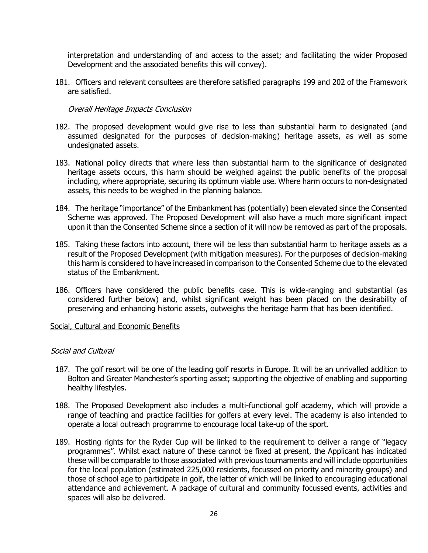interpretation and understanding of and access to the asset; and facilitating the wider Proposed Development and the associated benefits this will convey).

181. Officers and relevant consultees are therefore satisfied paragraphs 199 and 202 of the Framework are satisfied.

Overall Heritage Impacts Conclusion

- 182. The proposed development would give rise to less than substantial harm to designated (and assumed designated for the purposes of decision-making) heritage assets, as well as some undesignated assets.
- 183. National policy directs that where less than substantial harm to the significance of designated heritage assets occurs, this harm should be weighed against the public benefits of the proposal including, where appropriate, securing its optimum viable use. Where harm occurs to non-designated assets, this needs to be weighed in the planning balance.
- 184. The heritage "importance" of the Embankment has (potentially) been elevated since the Consented Scheme was approved. The Proposed Development will also have a much more significant impact upon it than the Consented Scheme since a section of it will now be removed as part of the proposals.
- 185. Taking these factors into account, there will be less than substantial harm to heritage assets as a result of the Proposed Development (with mitigation measures). For the purposes of decision-making this harm is considered to have increased in comparison to the Consented Scheme due to the elevated status of the Embankment.
- 186. Officers have considered the public benefits case. This is wide-ranging and substantial (as considered further below) and, whilst significant weight has been placed on the desirability of preserving and enhancing historic assets, outweighs the heritage harm that has been identified.

# Social, Cultural and Economic Benefits

# Social and Cultural

- 187. The golf resort will be one of the leading golf resorts in Europe. It will be an unrivalled addition to Bolton and Greater Manchester's sporting asset; supporting the objective of enabling and supporting healthy lifestyles.
- 188. The Proposed Development also includes a multi-functional golf academy, which will provide a range of teaching and practice facilities for golfers at every level. The academy is also intended to operate a local outreach programme to encourage local take-up of the sport.
- 189. Hosting rights for the Ryder Cup will be linked to the requirement to deliver a range of "legacy programmes". Whilst exact nature of these cannot be fixed at present, the Applicant has indicated these will be comparable to those associated with previous tournaments and will include opportunities for the local population (estimated 225,000 residents, focussed on priority and minority groups) and those of school age to participate in golf, the latter of which will be linked to encouraging educational attendance and achievement. A package of cultural and community focussed events, activities and spaces will also be delivered.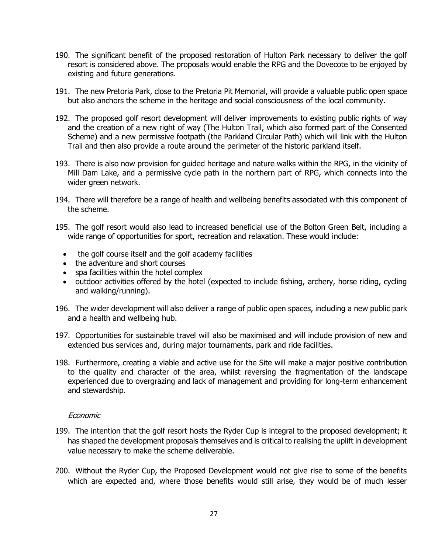- 190. The significant benefit of the proposed restoration of Hulton Park necessary to deliver the golf resort is considered above. The proposals would enable the RPG and the Dovecote to be enjoyed by existing and future generations.
- 191. The new Pretoria Park, close to the Pretoria Pit Memorial, will provide a valuable public open space but also anchors the scheme in the heritage and social consciousness of the local community.
- 192. The proposed golf resort development will deliver improvements to existing public rights of way and the creation of a new right of way (The Hulton Trail, which also formed part of the Consented Scheme) and a new permissive footpath (the Parkland Circular Path) which will link with the Hulton Trail and then also provide a route around the perimeter of the historic parkland itself.
- 193. There is also now provision for guided heritage and nature walks within the RPG, in the vicinity of Mill Dam Lake, and a permissive cycle path in the northern part of RPG, which connects into the wider green network.
- 194. There will therefore be a range of health and wellbeing benefits associated with this component of the scheme.
- 195. The golf resort would also lead to increased beneficial use of the Bolton Green Belt, including a wide range of opportunities for sport, recreation and relaxation. These would include:
	- the golf course itself and the golf academy facilities
	- the adventure and short courses
	- spa facilities within the hotel complex
	- outdoor activities offered by the hotel (expected to include fishing, archery, horse riding, cycling and walking/running).
- 196. The wider development will also deliver a range of public open spaces, including a new public park and a health and wellbeing hub.
- 197. Opportunities for sustainable travel will also be maximised and will include provision of new and extended bus services and, during major tournaments, park and ride facilities.
- 198. Furthermore, creating a viable and active use for the Site will make a major positive contribution to the quality and character of the area, whilst reversing the fragmentation of the landscape experienced due to overgrazing and lack of management and providing for long-term enhancement and stewardship.

# Economic

- 199. The intention that the golf resort hosts the Ryder Cup is integral to the proposed development; it has shaped the development proposals themselves and is critical to realising the uplift in development value necessary to make the scheme deliverable.
- 200. Without the Ryder Cup, the Proposed Development would not give rise to some of the benefits which are expected and, where those benefits would still arise, they would be of much lesser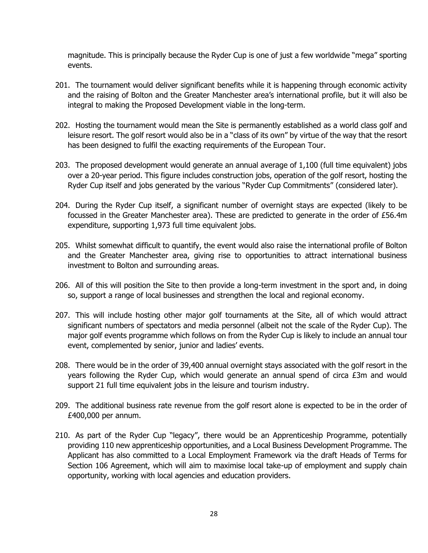magnitude. This is principally because the Ryder Cup is one of just a few worldwide "mega" sporting events.

- 201. The tournament would deliver significant benefits while it is happening through economic activity and the raising of Bolton and the Greater Manchester area's international profile, but it will also be integral to making the Proposed Development viable in the long-term.
- 202. Hosting the tournament would mean the Site is permanently established as a world class golf and leisure resort. The golf resort would also be in a "class of its own" by virtue of the way that the resort has been designed to fulfil the exacting requirements of the European Tour.
- 203. The proposed development would generate an annual average of 1,100 (full time equivalent) jobs over a 20-year period. This figure includes construction jobs, operation of the golf resort, hosting the Ryder Cup itself and jobs generated by the various "Ryder Cup Commitments" (considered later).
- 204. During the Ryder Cup itself, a significant number of overnight stays are expected (likely to be focussed in the Greater Manchester area). These are predicted to generate in the order of £56.4m expenditure, supporting 1,973 full time equivalent jobs.
- 205. Whilst somewhat difficult to quantify, the event would also raise the international profile of Bolton and the Greater Manchester area, giving rise to opportunities to attract international business investment to Bolton and surrounding areas.
- 206. All of this will position the Site to then provide a long-term investment in the sport and, in doing so, support a range of local businesses and strengthen the local and regional economy.
- 207. This will include hosting other major golf tournaments at the Site, all of which would attract significant numbers of spectators and media personnel (albeit not the scale of the Ryder Cup). The major golf events programme which follows on from the Ryder Cup is likely to include an annual tour event, complemented by senior, junior and ladies' events.
- 208. There would be in the order of 39,400 annual overnight stays associated with the golf resort in the years following the Ryder Cup, which would generate an annual spend of circa £3m and would support 21 full time equivalent jobs in the leisure and tourism industry.
- 209. The additional business rate revenue from the golf resort alone is expected to be in the order of £400,000 per annum.
- 210. As part of the Ryder Cup "legacy", there would be an Apprenticeship Programme, potentially providing 110 new apprenticeship opportunities, and a Local Business Development Programme. The Applicant has also committed to a Local Employment Framework via the draft Heads of Terms for Section 106 Agreement, which will aim to maximise local take-up of employment and supply chain opportunity, working with local agencies and education providers.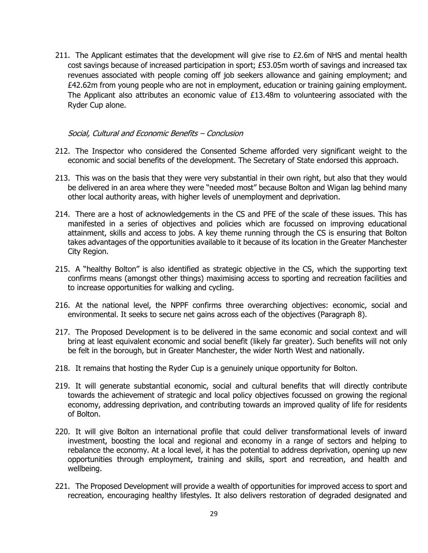211. The Applicant estimates that the development will give rise to  $E2.6m$  of NHS and mental health cost savings because of increased participation in sport; £53.05m worth of savings and increased tax revenues associated with people coming off job seekers allowance and gaining employment; and £42.62m from young people who are not in employment, education or training gaining employment. The Applicant also attributes an economic value of  $£13.48m$  to volunteering associated with the Ryder Cup alone.

#### Social, Cultural and Economic Benefits – Conclusion

- 212. The Inspector who considered the Consented Scheme afforded very significant weight to the economic and social benefits of the development. The Secretary of State endorsed this approach.
- 213. This was on the basis that they were very substantial in their own right, but also that they would be delivered in an area where they were "needed most" because Bolton and Wigan lag behind many other local authority areas, with higher levels of unemployment and deprivation.
- 214. There are a host of acknowledgements in the CS and PFE of the scale of these issues. This has manifested in a series of objectives and policies which are focussed on improving educational attainment, skills and access to jobs. A key theme running through the CS is ensuring that Bolton takes advantages of the opportunities available to it because of its location in the Greater Manchester City Region.
- 215. A "healthy Bolton" is also identified as strategic objective in the CS, which the supporting text confirms means (amongst other things) maximising access to sporting and recreation facilities and to increase opportunities for walking and cycling.
- 216. At the national level, the NPPF confirms three overarching objectives: economic, social and environmental. It seeks to secure net gains across each of the objectives (Paragraph 8).
- 217. The Proposed Development is to be delivered in the same economic and social context and will bring at least equivalent economic and social benefit (likely far greater). Such benefits will not only be felt in the borough, but in Greater Manchester, the wider North West and nationally.
- 218. It remains that hosting the Ryder Cup is a genuinely unique opportunity for Bolton.
- 219. It will generate substantial economic, social and cultural benefits that will directly contribute towards the achievement of strategic and local policy objectives focussed on growing the regional economy, addressing deprivation, and contributing towards an improved quality of life for residents of Bolton.
- 220. It will give Bolton an international profile that could deliver transformational levels of inward investment, boosting the local and regional and economy in a range of sectors and helping to rebalance the economy. At a local level, it has the potential to address deprivation, opening up new opportunities through employment, training and skills, sport and recreation, and health and wellbeing.
- 221. The Proposed Development will provide a wealth of opportunities for improved access to sport and recreation, encouraging healthy lifestyles. It also delivers restoration of degraded designated and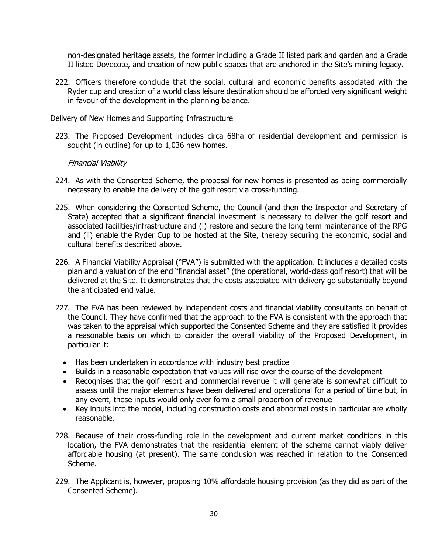non-designated heritage assets, the former including a Grade II listed park and garden and a Grade II listed Dovecote, and creation of new public spaces that are anchored in the Site's mining legacy.

222. Officers therefore conclude that the social, cultural and economic benefits associated with the Ryder cup and creation of a world class leisure destination should be afforded very significant weight in favour of the development in the planning balance.

#### Delivery of New Homes and Supporting Infrastructure

223. The Proposed Development includes circa 68ha of residential development and permission is sought (in outline) for up to 1,036 new homes.

#### Financial Viability

- 224. As with the Consented Scheme, the proposal for new homes is presented as being commercially necessary to enable the delivery of the golf resort via cross-funding.
- 225. When considering the Consented Scheme, the Council (and then the Inspector and Secretary of State) accepted that a significant financial investment is necessary to deliver the golf resort and associated facilities/infrastructure and (i) restore and secure the long term maintenance of the RPG and (ii) enable the Ryder Cup to be hosted at the Site, thereby securing the economic, social and cultural benefits described above.
- 226. A Financial Viability Appraisal ("FVA") is submitted with the application. It includes a detailed costs plan and a valuation of the end "financial asset" (the operational, world-class golf resort) that will be delivered at the Site. It demonstrates that the costs associated with delivery go substantially beyond the anticipated end value.
- 227. The FVA has been reviewed by independent costs and financial viability consultants on behalf of the Council. They have confirmed that the approach to the FVA is consistent with the approach that was taken to the appraisal which supported the Consented Scheme and they are satisfied it provides a reasonable basis on which to consider the overall viability of the Proposed Development, in particular it:
	- Has been undertaken in accordance with industry best practice
	- Builds in a reasonable expectation that values will rise over the course of the development
	- Recognises that the golf resort and commercial revenue it will generate is somewhat difficult to assess until the major elements have been delivered and operational for a period of time but, in any event, these inputs would only ever form a small proportion of revenue
	- Key inputs into the model, including construction costs and abnormal costs in particular are wholly reasonable.
- 228. Because of their cross-funding role in the development and current market conditions in this location, the FVA demonstrates that the residential element of the scheme cannot viably deliver affordable housing (at present). The same conclusion was reached in relation to the Consented Scheme.
- 229. The Applicant is, however, proposing 10% affordable housing provision (as they did as part of the Consented Scheme).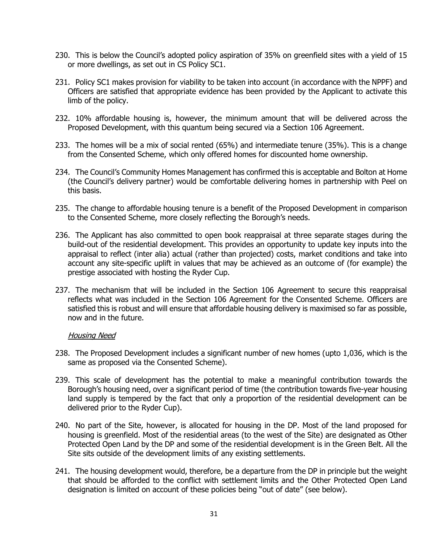- 230. This is below the Council's adopted policy aspiration of 35% on greenfield sites with a yield of 15 or more dwellings, as set out in CS Policy SC1.
- 231. Policy SC1 makes provision for viability to be taken into account (in accordance with the NPPF) and Officers are satisfied that appropriate evidence has been provided by the Applicant to activate this limb of the policy.
- 232. 10% affordable housing is, however, the minimum amount that will be delivered across the Proposed Development, with this quantum being secured via a Section 106 Agreement.
- 233. The homes will be a mix of social rented (65%) and intermediate tenure (35%). This is a change from the Consented Scheme, which only offered homes for discounted home ownership.
- 234. The Council's Community Homes Management has confirmed this is acceptable and Bolton at Home (the Council's delivery partner) would be comfortable delivering homes in partnership with Peel on this basis.
- 235. The change to affordable housing tenure is a benefit of the Proposed Development in comparison to the Consented Scheme, more closely reflecting the Borough's needs.
- 236. The Applicant has also committed to open book reappraisal at three separate stages during the build-out of the residential development. This provides an opportunity to update key inputs into the appraisal to reflect (inter alia) actual (rather than projected) costs, market conditions and take into account any site-specific uplift in values that may be achieved as an outcome of (for example) the prestige associated with hosting the Ryder Cup.
- 237. The mechanism that will be included in the Section 106 Agreement to secure this reappraisal reflects what was included in the Section 106 Agreement for the Consented Scheme. Officers are satisfied this is robust and will ensure that affordable housing delivery is maximised so far as possible, now and in the future.

#### Housing Need

- 238. The Proposed Development includes a significant number of new homes (upto 1,036, which is the same as proposed via the Consented Scheme).
- 239. This scale of development has the potential to make a meaningful contribution towards the Borough's housing need, over a significant period of time (the contribution towards five-year housing land supply is tempered by the fact that only a proportion of the residential development can be delivered prior to the Ryder Cup).
- 240. No part of the Site, however, is allocated for housing in the DP. Most of the land proposed for housing is greenfield. Most of the residential areas (to the west of the Site) are designated as Other Protected Open Land by the DP and some of the residential development is in the Green Belt. All the Site sits outside of the development limits of any existing settlements.
- 241. The housing development would, therefore, be a departure from the DP in principle but the weight that should be afforded to the conflict with settlement limits and the Other Protected Open Land designation is limited on account of these policies being "out of date" (see below).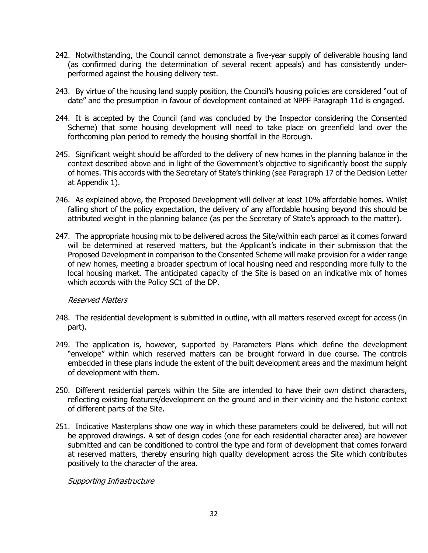- 242. Notwithstanding, the Council cannot demonstrate a five-year supply of deliverable housing land (as confirmed during the determination of several recent appeals) and has consistently underperformed against the housing delivery test.
- 243. By virtue of the housing land supply position, the Council's housing policies are considered "out of date" and the presumption in favour of development contained at NPPF Paragraph 11d is engaged.
- 244. It is accepted by the Council (and was concluded by the Inspector considering the Consented Scheme) that some housing development will need to take place on greenfield land over the forthcoming plan period to remedy the housing shortfall in the Borough.
- 245. Significant weight should be afforded to the delivery of new homes in the planning balance in the context described above and in light of the Government's objective to significantly boost the supply of homes. This accords with the Secretary of State's thinking (see Paragraph 17 of the Decision Letter at Appendix 1).
- 246. As explained above, the Proposed Development will deliver at least 10% affordable homes. Whilst falling short of the policy expectation, the delivery of any affordable housing beyond this should be attributed weight in the planning balance (as per the Secretary of State's approach to the matter).
- 247. The appropriate housing mix to be delivered across the Site/within each parcel as it comes forward will be determined at reserved matters, but the Applicant's indicate in their submission that the Proposed Development in comparison to the Consented Scheme will make provision for a wider range of new homes, meeting a broader spectrum of local housing need and responding more fully to the local housing market. The anticipated capacity of the Site is based on an indicative mix of homes which accords with the Policy SC1 of the DP.

# Reserved Matters

- 248. The residential development is submitted in outline, with all matters reserved except for access (in part).
- 249. The application is, however, supported by Parameters Plans which define the development "envelope" within which reserved matters can be brought forward in due course. The controls embedded in these plans include the extent of the built development areas and the maximum height of development with them.
- 250. Different residential parcels within the Site are intended to have their own distinct characters, reflecting existing features/development on the ground and in their vicinity and the historic context of different parts of the Site.
- 251. Indicative Masterplans show one way in which these parameters could be delivered, but will not be approved drawings. A set of design codes (one for each residential character area) are however submitted and can be conditioned to control the type and form of development that comes forward at reserved matters, thereby ensuring high quality development across the Site which contributes positively to the character of the area.

Supporting Infrastructure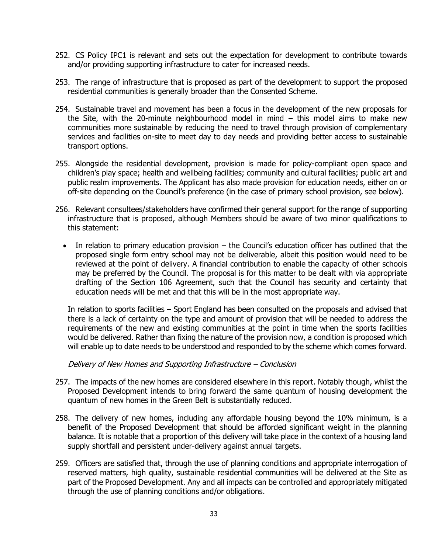- 252. CS Policy IPC1 is relevant and sets out the expectation for development to contribute towards and/or providing supporting infrastructure to cater for increased needs.
- 253. The range of infrastructure that is proposed as part of the development to support the proposed residential communities is generally broader than the Consented Scheme.
- 254. Sustainable travel and movement has been a focus in the development of the new proposals for the Site, with the 20-minute neighbourhood model in mind  $-$  this model aims to make new communities more sustainable by reducing the need to travel through provision of complementary services and facilities on-site to meet day to day needs and providing better access to sustainable transport options.
- 255. Alongside the residential development, provision is made for policy-compliant open space and children's play space; health and wellbeing facilities; community and cultural facilities; public art and public realm improvements. The Applicant has also made provision for education needs, either on or off-site depending on the Council's preference (in the case of primary school provision, see below).
- 256. Relevant consultees/stakeholders have confirmed their general support for the range of supporting infrastructure that is proposed, although Members should be aware of two minor qualifications to this statement:
	- In relation to primary education provision the Council's education officer has outlined that the proposed single form entry school may not be deliverable, albeit this position would need to be reviewed at the point of delivery. A financial contribution to enable the capacity of other schools may be preferred by the Council. The proposal is for this matter to be dealt with via appropriate drafting of the Section 106 Agreement, such that the Council has security and certainty that education needs will be met and that this will be in the most appropriate way.

In relation to sports facilities – Sport England has been consulted on the proposals and advised that there is a lack of certainty on the type and amount of provision that will be needed to address the requirements of the new and existing communities at the point in time when the sports facilities would be delivered. Rather than fixing the nature of the provision now, a condition is proposed which will enable up to date needs to be understood and responded to by the scheme which comes forward.

# Delivery of New Homes and Supporting Infrastructure – Conclusion

- 257. The impacts of the new homes are considered elsewhere in this report. Notably though, whilst the Proposed Development intends to bring forward the same quantum of housing development the quantum of new homes in the Green Belt is substantially reduced.
- 258. The delivery of new homes, including any affordable housing beyond the 10% minimum, is a benefit of the Proposed Development that should be afforded significant weight in the planning balance. It is notable that a proportion of this delivery will take place in the context of a housing land supply shortfall and persistent under-delivery against annual targets.
- 259. Officers are satisfied that, through the use of planning conditions and appropriate interrogation of reserved matters, high quality, sustainable residential communities will be delivered at the Site as part of the Proposed Development. Any and all impacts can be controlled and appropriately mitigated through the use of planning conditions and/or obligations.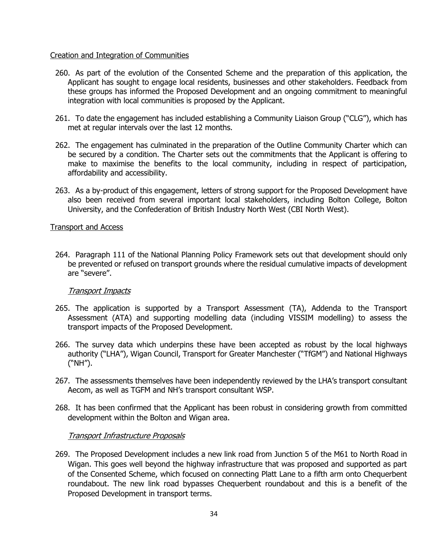# Creation and Integration of Communities

- 260. As part of the evolution of the Consented Scheme and the preparation of this application, the Applicant has sought to engage local residents, businesses and other stakeholders. Feedback from these groups has informed the Proposed Development and an ongoing commitment to meaningful integration with local communities is proposed by the Applicant.
- 261. To date the engagement has included establishing a Community Liaison Group ("CLG"), which has met at regular intervals over the last 12 months.
- 262. The engagement has culminated in the preparation of the Outline Community Charter which can be secured by a condition. The Charter sets out the commitments that the Applicant is offering to make to maximise the benefits to the local community, including in respect of participation, affordability and accessibility.
- 263. As a by-product of this engagement, letters of strong support for the Proposed Development have also been received from several important local stakeholders, including Bolton College, Bolton University, and the Confederation of British Industry North West (CBI North West).

#### Transport and Access

264. Paragraph 111 of the National Planning Policy Framework sets out that development should only be prevented or refused on transport grounds where the residual cumulative impacts of development are "severe".

# Transport Impacts

- 265. The application is supported by a Transport Assessment (TA), Addenda to the Transport Assessment (ATA) and supporting modelling data (including VISSIM modelling) to assess the transport impacts of the Proposed Development.
- 266. The survey data which underpins these have been accepted as robust by the local highways authority ("LHA"), Wigan Council, Transport for Greater Manchester ("TfGM") and National Highways ("NH").
- 267. The assessments themselves have been independently reviewed by the LHA's transport consultant Aecom, as well as TGFM and NH's transport consultant WSP.
- 268. It has been confirmed that the Applicant has been robust in considering growth from committed development within the Bolton and Wigan area.

# Transport Infrastructure Proposals

269. The Proposed Development includes a new link road from Junction 5 of the M61 to North Road in Wigan. This goes well beyond the highway infrastructure that was proposed and supported as part of the Consented Scheme, which focused on connecting Platt Lane to a fifth arm onto Chequerbent roundabout. The new link road bypasses Chequerbent roundabout and this is a benefit of the Proposed Development in transport terms.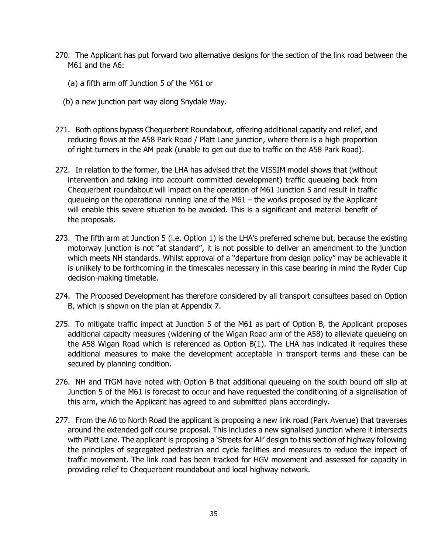- 270. The Applicant has put forward two alternative designs for the section of the link road between the M61 and the A6:
	- (a) a fifth arm off Junction 5 of the M61 or
	- (b) a new junction part way along Snydale Way.
- 271. Both options bypass Chequerbent Roundabout, offering additional capacity and relief, and reducing flows at the A58 Park Road / Platt Lane junction, where there is a high proportion of right turners in the AM peak (unable to get out due to traffic on the A58 Park Road).
- 272. In relation to the former, the LHA has advised that the VISSIM model shows that (without intervention and taking into account committed development) traffic queueing back from Chequerbent roundabout will impact on the operation of M61 Junction 5 and result in traffic queueing on the operational running lane of the M61 – the works proposed by the Applicant will enable this severe situation to be avoided. This is a significant and material benefit of the proposals.
- 273. The fifth arm at Junction 5 (i.e. Option 1) is the LHA's preferred scheme but, because the existing motorway junction is not "at standard", it is not possible to deliver an amendment to the junction which meets NH standards. Whilst approval of a "departure from design policy" may be achievable it is unlikely to be forthcoming in the timescales necessary in this case bearing in mind the Ryder Cup decision-making timetable.
- 274. The Proposed Development has therefore considered by all transport consultees based on Option B, which is shown on the plan at Appendix 7.
- 275. To mitigate traffic impact at Junction 5 of the M61 as part of Option B, the Applicant proposes additional capacity measures (widening of the Wigan Road arm of the A58) to alleviate queueing on the A58 Wigan Road which is referenced as Option B(1). The LHA has indicated it requires these additional measures to make the development acceptable in transport terms and these can be secured by planning condition.
- 276. NH and TfGM have noted with Option B that additional queueing on the south bound off slip at Junction 5 of the M61 is forecast to occur and have requested the conditioning of a signalisation of this arm, which the Applicant has agreed to and submitted plans accordingly.
- 277. From the A6 to North Road the applicant is proposing a new link road (Park Avenue) that traverses around the extended golf course proposal. This includes a new signalised junction where it intersects with Platt Lane. The applicant is proposing a 'Streets for All' design to this section of highway following the principles of segregated pedestrian and cycle facilities and measures to reduce the impact of traffic movement. The link road has been tracked for HGV movement and assessed for capacity in providing relief to Chequerbent roundabout and local highway network.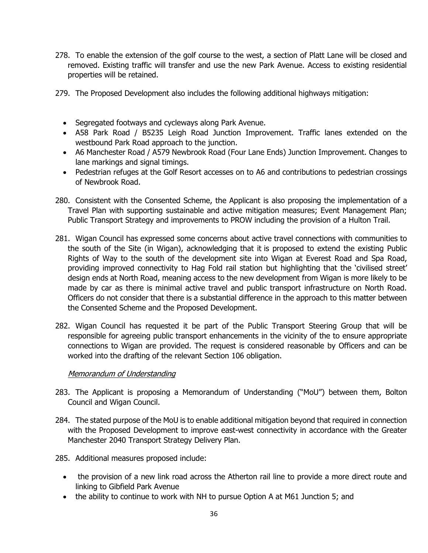- 278. To enable the extension of the golf course to the west, a section of Platt Lane will be closed and removed. Existing traffic will transfer and use the new Park Avenue. Access to existing residential properties will be retained.
- 279. The Proposed Development also includes the following additional highways mitigation:
	- Segregated footways and cycleways along Park Avenue.
	- A58 Park Road / B5235 Leigh Road Junction Improvement. Traffic lanes extended on the westbound Park Road approach to the junction.
	- A6 Manchester Road / A579 Newbrook Road (Four Lane Ends) Junction Improvement. Changes to lane markings and signal timings.
	- Pedestrian refuges at the Golf Resort accesses on to A6 and contributions to pedestrian crossings of Newbrook Road.
- 280. Consistent with the Consented Scheme, the Applicant is also proposing the implementation of a Travel Plan with supporting sustainable and active mitigation measures; Event Management Plan; Public Transport Strategy and improvements to PROW including the provision of a Hulton Trail.
- 281. Wigan Council has expressed some concerns about active travel connections with communities to the south of the Site (in Wigan), acknowledging that it is proposed to extend the existing Public Rights of Way to the south of the development site into Wigan at Everest Road and Spa Road, providing improved connectivity to Hag Fold rail station but highlighting that the 'civilised street' design ends at North Road, meaning access to the new development from Wigan is more likely to be made by car as there is minimal active travel and public transport infrastructure on North Road. Officers do not consider that there is a substantial difference in the approach to this matter between the Consented Scheme and the Proposed Development.
- 282. Wigan Council has requested it be part of the Public Transport Steering Group that will be responsible for agreeing public transport enhancements in the vicinity of the to ensure appropriate connections to Wigan are provided. The request is considered reasonable by Officers and can be worked into the drafting of the relevant Section 106 obligation.

# Memorandum of Understanding

- 283. The Applicant is proposing a Memorandum of Understanding ("MoU") between them, Bolton Council and Wigan Council.
- 284. The stated purpose of the MoU is to enable additional mitigation beyond that required in connection with the Proposed Development to improve east-west connectivity in accordance with the Greater Manchester 2040 Transport Strategy Delivery Plan.
- 285. Additional measures proposed include:
	- the provision of a new link road across the Atherton rail line to provide a more direct route and linking to Gibfield Park Avenue
	- the ability to continue to work with NH to pursue Option A at M61 Junction 5; and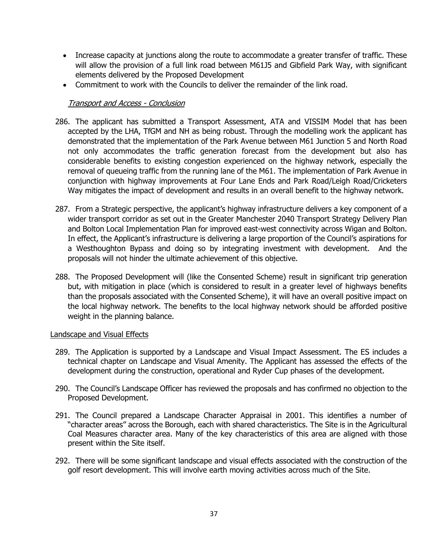- Increase capacity at junctions along the route to accommodate a greater transfer of traffic. These will allow the provision of a full link road between M61J5 and Gibfield Park Way, with significant elements delivered by the Proposed Development
- Commitment to work with the Councils to deliver the remainder of the link road.

# Transport and Access - Conclusion

- 286. The applicant has submitted a Transport Assessment, ATA and VISSIM Model that has been accepted by the LHA, TfGM and NH as being robust. Through the modelling work the applicant has demonstrated that the implementation of the Park Avenue between M61 Junction 5 and North Road not only accommodates the traffic generation forecast from the development but also has considerable benefits to existing congestion experienced on the highway network, especially the removal of queueing traffic from the running lane of the M61. The implementation of Park Avenue in conjunction with highway improvements at Four Lane Ends and Park Road/Leigh Road/Cricketers Way mitigates the impact of development and results in an overall benefit to the highway network.
- 287. From a Strategic perspective, the applicant's highway infrastructure delivers a key component of a wider transport corridor as set out in the Greater Manchester 2040 Transport Strategy Delivery Plan and Bolton Local Implementation Plan for improved east-west connectivity across Wigan and Bolton. In effect, the Applicant's infrastructure is delivering a large proportion of the Council's aspirations for a Westhoughton Bypass and doing so by integrating investment with development. And the proposals will not hinder the ultimate achievement of this objective.
- 288. The Proposed Development will (like the Consented Scheme) result in significant trip generation but, with mitigation in place (which is considered to result in a greater level of highways benefits than the proposals associated with the Consented Scheme), it will have an overall positive impact on the local highway network. The benefits to the local highway network should be afforded positive weight in the planning balance.

# Landscape and Visual Effects

- 289. The Application is supported by a Landscape and Visual Impact Assessment. The ES includes a technical chapter on Landscape and Visual Amenity. The Applicant has assessed the effects of the development during the construction, operational and Ryder Cup phases of the development.
- 290. The Council's Landscape Officer has reviewed the proposals and has confirmed no objection to the Proposed Development.
- 291. The Council prepared a Landscape Character Appraisal in 2001. This identifies a number of "character areas" across the Borough, each with shared characteristics. The Site is in the Agricultural Coal Measures character area. Many of the key characteristics of this area are aligned with those present within the Site itself.
- 292. There will be some significant landscape and visual effects associated with the construction of the golf resort development. This will involve earth moving activities across much of the Site.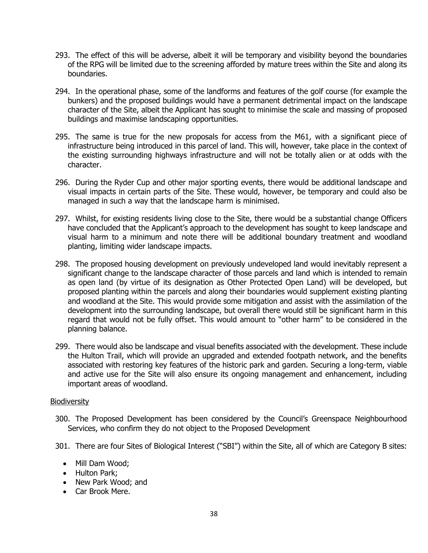- 293. The effect of this will be adverse, albeit it will be temporary and visibility beyond the boundaries of the RPG will be limited due to the screening afforded by mature trees within the Site and along its boundaries.
- 294. In the operational phase, some of the landforms and features of the golf course (for example the bunkers) and the proposed buildings would have a permanent detrimental impact on the landscape character of the Site, albeit the Applicant has sought to minimise the scale and massing of proposed buildings and maximise landscaping opportunities.
- 295. The same is true for the new proposals for access from the M61, with a significant piece of infrastructure being introduced in this parcel of land. This will, however, take place in the context of the existing surrounding highways infrastructure and will not be totally alien or at odds with the character.
- 296. During the Ryder Cup and other major sporting events, there would be additional landscape and visual impacts in certain parts of the Site. These would, however, be temporary and could also be managed in such a way that the landscape harm is minimised.
- 297. Whilst, for existing residents living close to the Site, there would be a substantial change Officers have concluded that the Applicant's approach to the development has sought to keep landscape and visual harm to a minimum and note there will be additional boundary treatment and woodland planting, limiting wider landscape impacts.
- 298. The proposed housing development on previously undeveloped land would inevitably represent a significant change to the landscape character of those parcels and land which is intended to remain as open land (by virtue of its designation as Other Protected Open Land) will be developed, but proposed planting within the parcels and along their boundaries would supplement existing planting and woodland at the Site. This would provide some mitigation and assist with the assimilation of the development into the surrounding landscape, but overall there would still be significant harm in this regard that would not be fully offset. This would amount to "other harm" to be considered in the planning balance.
- 299. There would also be landscape and visual benefits associated with the development. These include the Hulton Trail, which will provide an upgraded and extended footpath network, and the benefits associated with restoring key features of the historic park and garden. Securing a long-term, viable and active use for the Site will also ensure its ongoing management and enhancement, including important areas of woodland.

# **Biodiversity**

- 300. The Proposed Development has been considered by the Council's Greenspace Neighbourhood Services, who confirm they do not object to the Proposed Development
- 301. There are four Sites of Biological Interest ("SBI") within the Site, all of which are Category B sites:
	- Mill Dam Wood;
	- Hulton Park;
	- New Park Wood; and
	- Car Brook Mere.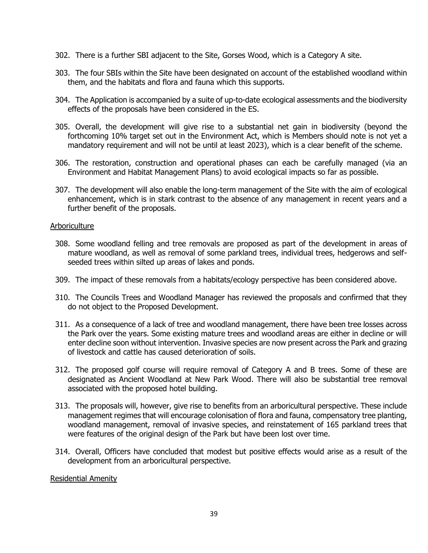- 302. There is a further SBI adjacent to the Site, Gorses Wood, which is a Category A site.
- 303. The four SBIs within the Site have been designated on account of the established woodland within them, and the habitats and flora and fauna which this supports.
- 304. The Application is accompanied by a suite of up-to-date ecological assessments and the biodiversity effects of the proposals have been considered in the ES.
- 305. Overall, the development will give rise to a substantial net gain in biodiversity (beyond the forthcoming 10% target set out in the Environment Act, which is Members should note is not yet a mandatory requirement and will not be until at least 2023), which is a clear benefit of the scheme.
- 306. The restoration, construction and operational phases can each be carefully managed (via an Environment and Habitat Management Plans) to avoid ecological impacts so far as possible.
- 307. The development will also enable the long-term management of the Site with the aim of ecological enhancement, which is in stark contrast to the absence of any management in recent years and a further benefit of the proposals.

# Arboriculture

- 308. Some woodland felling and tree removals are proposed as part of the development in areas of mature woodland, as well as removal of some parkland trees, individual trees, hedgerows and selfseeded trees within silted up areas of lakes and ponds.
- 309. The impact of these removals from a habitats/ecology perspective has been considered above.
- 310. The Councils Trees and Woodland Manager has reviewed the proposals and confirmed that they do not object to the Proposed Development.
- 311. As a consequence of a lack of tree and woodland management, there have been tree losses across the Park over the years. Some existing mature trees and woodland areas are either in decline or will enter decline soon without intervention. Invasive species are now present across the Park and grazing of livestock and cattle has caused deterioration of soils.
- 312. The proposed golf course will require removal of Category A and B trees. Some of these are designated as Ancient Woodland at New Park Wood. There will also be substantial tree removal associated with the proposed hotel building.
- 313. The proposals will, however, give rise to benefits from an arboricultural perspective. These include management regimes that will encourage colonisation of flora and fauna, compensatory tree planting, woodland management, removal of invasive species, and reinstatement of 165 parkland trees that were features of the original design of the Park but have been lost over time.
- 314. Overall, Officers have concluded that modest but positive effects would arise as a result of the development from an arboricultural perspective.

#### Residential Amenity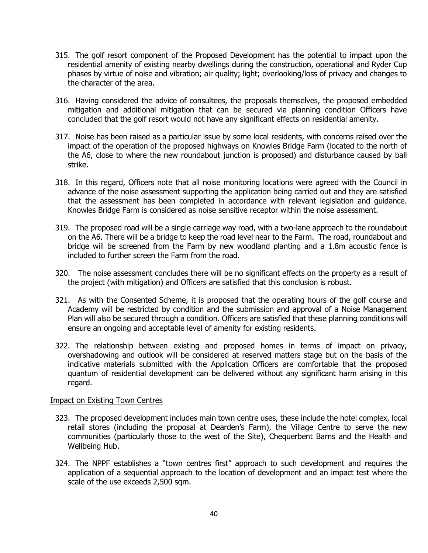- 315. The golf resort component of the Proposed Development has the potential to impact upon the residential amenity of existing nearby dwellings during the construction, operational and Ryder Cup phases by virtue of noise and vibration; air quality; light; overlooking/loss of privacy and changes to the character of the area.
- 316. Having considered the advice of consultees, the proposals themselves, the proposed embedded mitigation and additional mitigation that can be secured via planning condition Officers have concluded that the golf resort would not have any significant effects on residential amenity.
- 317. Noise has been raised as a particular issue by some local residents, with concerns raised over the impact of the operation of the proposed highways on Knowles Bridge Farm (located to the north of the A6, close to where the new roundabout junction is proposed) and disturbance caused by ball strike.
- 318. In this regard, Officers note that all noise monitoring locations were agreed with the Council in advance of the noise assessment supporting the application being carried out and they are satisfied that the assessment has been completed in accordance with relevant legislation and guidance. Knowles Bridge Farm is considered as noise sensitive receptor within the noise assessment.
- 319. The proposed road will be a single carriage way road, with a two-lane approach to the roundabout on the A6. There will be a bridge to keep the road level near to the Farm. The road, roundabout and bridge will be screened from the Farm by new woodland planting and a 1.8m acoustic fence is included to further screen the Farm from the road.
- 320. The noise assessment concludes there will be no significant effects on the property as a result of the project (with mitigation) and Officers are satisfied that this conclusion is robust.
- 321. As with the Consented Scheme, it is proposed that the operating hours of the golf course and Academy will be restricted by condition and the submission and approval of a Noise Management Plan will also be secured through a condition. Officers are satisfied that these planning conditions will ensure an ongoing and acceptable level of amenity for existing residents.
- 322. The relationship between existing and proposed homes in terms of impact on privacy, overshadowing and outlook will be considered at reserved matters stage but on the basis of the indicative materials submitted with the Application Officers are comfortable that the proposed quantum of residential development can be delivered without any significant harm arising in this regard.

#### Impact on Existing Town Centres

- 323. The proposed development includes main town centre uses, these include the hotel complex, local retail stores (including the proposal at Dearden's Farm), the Village Centre to serve the new communities (particularly those to the west of the Site), Chequerbent Barns and the Health and Wellbeing Hub.
- 324. The NPPF establishes a "town centres first" approach to such development and requires the application of a sequential approach to the location of development and an impact test where the scale of the use exceeds 2,500 sqm.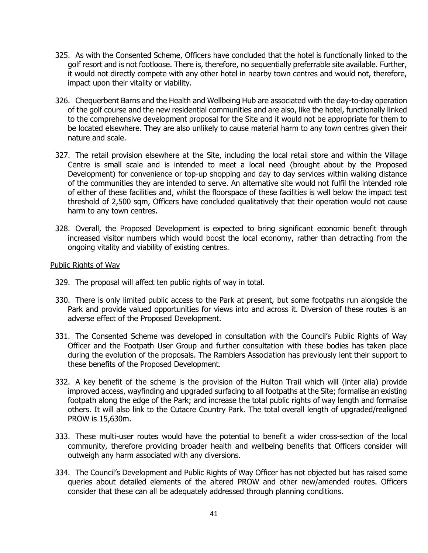- 325. As with the Consented Scheme, Officers have concluded that the hotel is functionally linked to the golf resort and is not footloose. There is, therefore, no sequentially preferrable site available. Further, it would not directly compete with any other hotel in nearby town centres and would not, therefore, impact upon their vitality or viability.
- 326. Chequerbent Barns and the Health and Wellbeing Hub are associated with the day-to-day operation of the golf course and the new residential communities and are also, like the hotel, functionally linked to the comprehensive development proposal for the Site and it would not be appropriate for them to be located elsewhere. They are also unlikely to cause material harm to any town centres given their nature and scale.
- 327. The retail provision elsewhere at the Site, including the local retail store and within the Village Centre is small scale and is intended to meet a local need (brought about by the Proposed Development) for convenience or top-up shopping and day to day services within walking distance of the communities they are intended to serve. An alternative site would not fulfil the intended role of either of these facilities and, whilst the floorspace of these facilities is well below the impact test threshold of 2,500 sqm, Officers have concluded qualitatively that their operation would not cause harm to any town centres.
- 328. Overall, the Proposed Development is expected to bring significant economic benefit through increased visitor numbers which would boost the local economy, rather than detracting from the ongoing vitality and viability of existing centres.

#### Public Rights of Way

- 329. The proposal will affect ten public rights of way in total.
- 330. There is only limited public access to the Park at present, but some footpaths run alongside the Park and provide valued opportunities for views into and across it. Diversion of these routes is an adverse effect of the Proposed Development.
- 331. The Consented Scheme was developed in consultation with the Council's Public Rights of Way Officer and the Footpath User Group and further consultation with these bodies has taken place during the evolution of the proposals. The Ramblers Association has previously lent their support to these benefits of the Proposed Development.
- 332. A key benefit of the scheme is the provision of the Hulton Trail which will (inter alia) provide improved access, wayfinding and upgraded surfacing to all footpaths at the Site; formalise an existing footpath along the edge of the Park; and increase the total public rights of way length and formalise others. It will also link to the Cutacre Country Park. The total overall length of upgraded/realigned PROW is 15,630m.
- 333. These multi-user routes would have the potential to benefit a wider cross-section of the local community, therefore providing broader health and wellbeing benefits that Officers consider will outweigh any harm associated with any diversions.
- 334. The Council's Development and Public Rights of Way Officer has not objected but has raised some queries about detailed elements of the altered PROW and other new/amended routes. Officers consider that these can all be adequately addressed through planning conditions.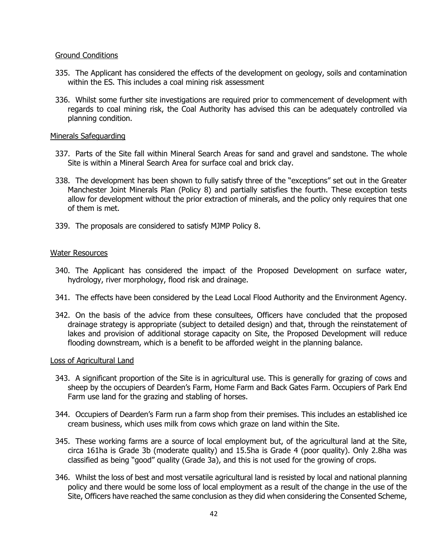#### Ground Conditions

- 335. The Applicant has considered the effects of the development on geology, soils and contamination within the ES. This includes a coal mining risk assessment
- 336. Whilst some further site investigations are required prior to commencement of development with regards to coal mining risk, the Coal Authority has advised this can be adequately controlled via planning condition.

#### Minerals Safeguarding

- 337. Parts of the Site fall within Mineral Search Areas for sand and gravel and sandstone. The whole Site is within a Mineral Search Area for surface coal and brick clay.
- 338. The development has been shown to fully satisfy three of the "exceptions" set out in the Greater Manchester Joint Minerals Plan (Policy 8) and partially satisfies the fourth. These exception tests allow for development without the prior extraction of minerals, and the policy only requires that one of them is met.
- 339. The proposals are considered to satisfy MJMP Policy 8.

#### Water Resources

- 340. The Applicant has considered the impact of the Proposed Development on surface water, hydrology, river morphology, flood risk and drainage.
- 341. The effects have been considered by the Lead Local Flood Authority and the Environment Agency.
- 342. On the basis of the advice from these consultees, Officers have concluded that the proposed drainage strategy is appropriate (subject to detailed design) and that, through the reinstatement of lakes and provision of additional storage capacity on Site, the Proposed Development will reduce flooding downstream, which is a benefit to be afforded weight in the planning balance.

#### Loss of Agricultural Land

- 343. A significant proportion of the Site is in agricultural use. This is generally for grazing of cows and sheep by the occupiers of Dearden's Farm, Home Farm and Back Gates Farm. Occupiers of Park End Farm use land for the grazing and stabling of horses.
- 344. Occupiers of Dearden's Farm run a farm shop from their premises. This includes an established ice cream business, which uses milk from cows which graze on land within the Site.
- 345. These working farms are a source of local employment but, of the agricultural land at the Site, circa 161ha is Grade 3b (moderate quality) and 15.5ha is Grade 4 (poor quality). Only 2.8ha was classified as being "good" quality (Grade 3a), and this is not used for the growing of crops.
- 346. Whilst the loss of best and most versatile agricultural land is resisted by local and national planning policy and there would be some loss of local employment as a result of the change in the use of the Site, Officers have reached the same conclusion as they did when considering the Consented Scheme,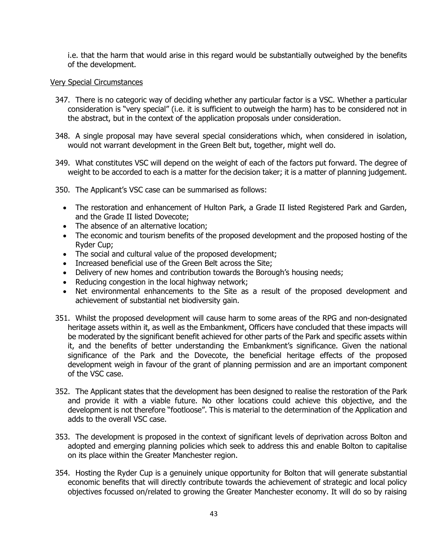i.e. that the harm that would arise in this regard would be substantially outweighed by the benefits of the development.

#### Very Special Circumstances

- 347. There is no categoric way of deciding whether any particular factor is a VSC. Whether a particular consideration is "very special" (i.e. it is sufficient to outweigh the harm) has to be considered not in the abstract, but in the context of the application proposals under consideration.
- 348. A single proposal may have several special considerations which, when considered in isolation, would not warrant development in the Green Belt but, together, might well do.
- 349. What constitutes VSC will depend on the weight of each of the factors put forward. The degree of weight to be accorded to each is a matter for the decision taker; it is a matter of planning judgement.
- 350. The Applicant's VSC case can be summarised as follows:
	- The restoration and enhancement of Hulton Park, a Grade II listed Registered Park and Garden, and the Grade II listed Dovecote;
	- The absence of an alternative location;
	- The economic and tourism benefits of the proposed development and the proposed hosting of the Ryder Cup;
	- The social and cultural value of the proposed development;
	- Increased beneficial use of the Green Belt across the Site;
	- Delivery of new homes and contribution towards the Borough's housing needs;
	- Reducing congestion in the local highway network;
	- Net environmental enhancements to the Site as a result of the proposed development and achievement of substantial net biodiversity gain.
- 351. Whilst the proposed development will cause harm to some areas of the RPG and non-designated heritage assets within it, as well as the Embankment, Officers have concluded that these impacts will be moderated by the significant benefit achieved for other parts of the Park and specific assets within it, and the benefits of better understanding the Embankment's significance. Given the national significance of the Park and the Dovecote, the beneficial heritage effects of the proposed development weigh in favour of the grant of planning permission and are an important component of the VSC case.
- 352. The Applicant states that the development has been designed to realise the restoration of the Park and provide it with a viable future. No other locations could achieve this objective, and the development is not therefore "footloose". This is material to the determination of the Application and adds to the overall VSC case.
- 353. The development is proposed in the context of significant levels of deprivation across Bolton and adopted and emerging planning policies which seek to address this and enable Bolton to capitalise on its place within the Greater Manchester region.
- 354. Hosting the Ryder Cup is a genuinely unique opportunity for Bolton that will generate substantial economic benefits that will directly contribute towards the achievement of strategic and local policy objectives focussed on/related to growing the Greater Manchester economy. It will do so by raising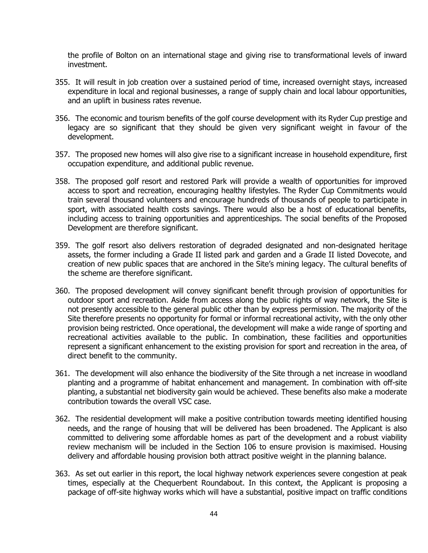the profile of Bolton on an international stage and giving rise to transformational levels of inward investment.

- 355. It will result in job creation over a sustained period of time, increased overnight stays, increased expenditure in local and regional businesses, a range of supply chain and local labour opportunities, and an uplift in business rates revenue.
- 356. The economic and tourism benefits of the golf course development with its Ryder Cup prestige and legacy are so significant that they should be given very significant weight in favour of the development.
- 357. The proposed new homes will also give rise to a significant increase in household expenditure, first occupation expenditure, and additional public revenue.
- 358. The proposed golf resort and restored Park will provide a wealth of opportunities for improved access to sport and recreation, encouraging healthy lifestyles. The Ryder Cup Commitments would train several thousand volunteers and encourage hundreds of thousands of people to participate in sport, with associated health costs savings. There would also be a host of educational benefits, including access to training opportunities and apprenticeships. The social benefits of the Proposed Development are therefore significant.
- 359. The golf resort also delivers restoration of degraded designated and non-designated heritage assets, the former including a Grade II listed park and garden and a Grade II listed Dovecote, and creation of new public spaces that are anchored in the Site's mining legacy. The cultural benefits of the scheme are therefore significant.
- 360. The proposed development will convey significant benefit through provision of opportunities for outdoor sport and recreation. Aside from access along the public rights of way network, the Site is not presently accessible to the general public other than by express permission. The majority of the Site therefore presents no opportunity for formal or informal recreational activity, with the only other provision being restricted. Once operational, the development will make a wide range of sporting and recreational activities available to the public. In combination, these facilities and opportunities represent a significant enhancement to the existing provision for sport and recreation in the area, of direct benefit to the community.
- 361. The development will also enhance the biodiversity of the Site through a net increase in woodland planting and a programme of habitat enhancement and management. In combination with off-site planting, a substantial net biodiversity gain would be achieved. These benefits also make a moderate contribution towards the overall VSC case.
- 362. The residential development will make a positive contribution towards meeting identified housing needs, and the range of housing that will be delivered has been broadened. The Applicant is also committed to delivering some affordable homes as part of the development and a robust viability review mechanism will be included in the Section 106 to ensure provision is maximised. Housing delivery and affordable housing provision both attract positive weight in the planning balance.
- 363. As set out earlier in this report, the local highway network experiences severe congestion at peak times, especially at the Chequerbent Roundabout. In this context, the Applicant is proposing a package of off-site highway works which will have a substantial, positive impact on traffic conditions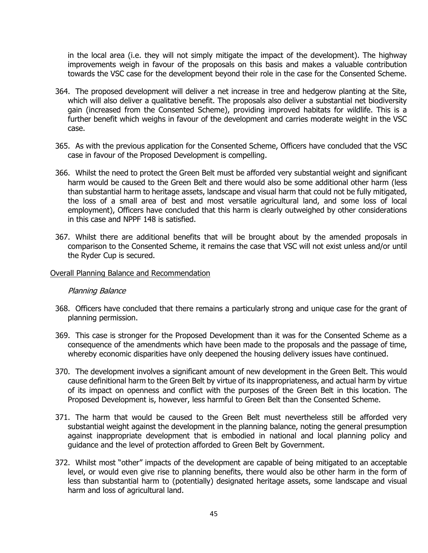in the local area (i.e. they will not simply mitigate the impact of the development). The highway improvements weigh in favour of the proposals on this basis and makes a valuable contribution towards the VSC case for the development beyond their role in the case for the Consented Scheme.

- 364. The proposed development will deliver a net increase in tree and hedgerow planting at the Site, which will also deliver a qualitative benefit. The proposals also deliver a substantial net biodiversity gain (increased from the Consented Scheme), providing improved habitats for wildlife. This is a further benefit which weighs in favour of the development and carries moderate weight in the VSC case.
- 365. As with the previous application for the Consented Scheme, Officers have concluded that the VSC case in favour of the Proposed Development is compelling.
- 366. Whilst the need to protect the Green Belt must be afforded very substantial weight and significant harm would be caused to the Green Belt and there would also be some additional other harm (less than substantial harm to heritage assets, landscape and visual harm that could not be fully mitigated, the loss of a small area of best and most versatile agricultural land, and some loss of local employment), Officers have concluded that this harm is clearly outweighed by other considerations in this case and NPPF 148 is satisfied.
- 367. Whilst there are additional benefits that will be brought about by the amended proposals in comparison to the Consented Scheme, it remains the case that VSC will not exist unless and/or until the Ryder Cup is secured.

#### Overall Planning Balance and Recommendation

#### Planning Balance

- 368. Officers have concluded that there remains a particularly strong and unique case for the grant of planning permission.
- 369. This case is stronger for the Proposed Development than it was for the Consented Scheme as a consequence of the amendments which have been made to the proposals and the passage of time, whereby economic disparities have only deepened the housing delivery issues have continued.
- 370. The development involves a significant amount of new development in the Green Belt. This would cause definitional harm to the Green Belt by virtue of its inappropriateness, and actual harm by virtue of its impact on openness and conflict with the purposes of the Green Belt in this location. The Proposed Development is, however, less harmful to Green Belt than the Consented Scheme.
- 371. The harm that would be caused to the Green Belt must nevertheless still be afforded very substantial weight against the development in the planning balance, noting the general presumption against inappropriate development that is embodied in national and local planning policy and guidance and the level of protection afforded to Green Belt by Government.
- 372. Whilst most "other" impacts of the development are capable of being mitigated to an acceptable level, or would even give rise to planning benefits, there would also be other harm in the form of less than substantial harm to (potentially) designated heritage assets, some landscape and visual harm and loss of agricultural land.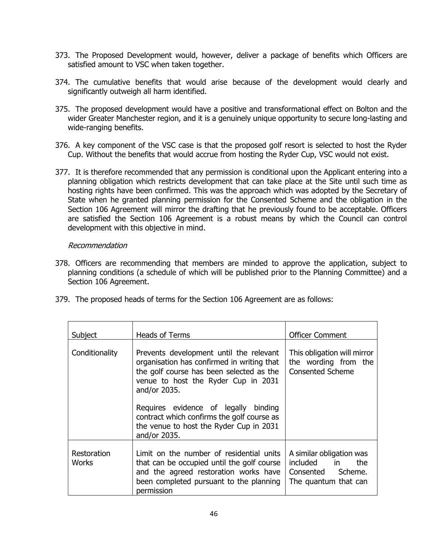- 373. The Proposed Development would, however, deliver a package of benefits which Officers are satisfied amount to VSC when taken together.
- 374. The cumulative benefits that would arise because of the development would clearly and significantly outweigh all harm identified.
- 375. The proposed development would have a positive and transformational effect on Bolton and the wider Greater Manchester region, and it is a genuinely unique opportunity to secure long-lasting and wide-ranging benefits.
- 376. A key component of the VSC case is that the proposed golf resort is selected to host the Ryder Cup. Without the benefits that would accrue from hosting the Ryder Cup, VSC would not exist.
- 377. It is therefore recommended that any permission is conditional upon the Applicant entering into a planning obligation which restricts development that can take place at the Site until such time as hosting rights have been confirmed. This was the approach which was adopted by the Secretary of State when he granted planning permission for the Consented Scheme and the obligation in the Section 106 Agreement will mirror the drafting that he previously found to be acceptable. Officers are satisfied the Section 106 Agreement is a robust means by which the Council can control development with this objective in mind.

# Recommendation

- 378. Officers are recommending that members are minded to approve the application, subject to planning conditions (a schedule of which will be published prior to the Planning Committee) and a Section 106 Agreement.
- 379. The proposed heads of terms for the Section 106 Agreement are as follows:

| Subject                     | Heads of Terms                                                                                                                                                                                                                                                                                                                            | <b>Officer Comment</b>                                                                       |
|-----------------------------|-------------------------------------------------------------------------------------------------------------------------------------------------------------------------------------------------------------------------------------------------------------------------------------------------------------------------------------------|----------------------------------------------------------------------------------------------|
| Conditionality              | Prevents development until the relevant<br>organisation has confirmed in writing that<br>the golf course has been selected as the<br>venue to host the Ryder Cup in 2031<br>and/or 2035.<br>Requires evidence of legally binding<br>contract which confirms the golf course as<br>the venue to host the Ryder Cup in 2031<br>and/or 2035. | This obligation will mirror<br>the wording from the<br><b>Consented Scheme</b>               |
| Restoration<br><b>Works</b> | Limit on the number of residential units<br>that can be occupied until the golf course<br>and the agreed restoration works have<br>been completed pursuant to the planning<br>permission                                                                                                                                                  | A similar obligation was<br>included in<br>the.<br>Consented Scheme.<br>The quantum that can |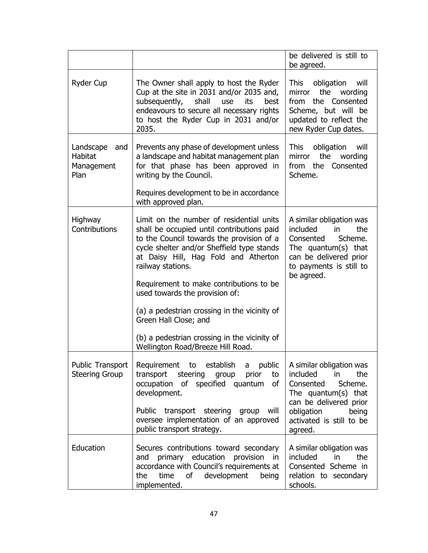|                                                          |                                                                                                                                                                                                                                                                                                                                                                                                                                                                                           | be delivered is still to<br>be agreed.                                                                                                                                                       |
|----------------------------------------------------------|-------------------------------------------------------------------------------------------------------------------------------------------------------------------------------------------------------------------------------------------------------------------------------------------------------------------------------------------------------------------------------------------------------------------------------------------------------------------------------------------|----------------------------------------------------------------------------------------------------------------------------------------------------------------------------------------------|
| Ryder Cup                                                | The Owner shall apply to host the Ryder<br>Cup at the site in 2031 and/or 2035 and,<br>shall<br>subsequently,<br>use<br>its<br>best<br>endeavours to secure all necessary rights<br>to host the Ryder Cup in 2031 and/or<br>2035.                                                                                                                                                                                                                                                         | obligation<br>will<br>This<br>the<br>mirror<br>wording<br>the Consented<br>from<br>Scheme, but will be<br>updated to reflect the<br>new Ryder Cup dates.                                     |
| Landscape<br>and<br><b>Habitat</b><br>Management<br>Plan | Prevents any phase of development unless<br>a landscape and habitat management plan<br>for that phase has been approved in<br>writing by the Council.                                                                                                                                                                                                                                                                                                                                     | obligation<br>will<br>This<br>the<br>mirror<br>wording<br>from the<br>Consented<br>Scheme.                                                                                                   |
|                                                          | Requires development to be in accordance<br>with approved plan.                                                                                                                                                                                                                                                                                                                                                                                                                           |                                                                                                                                                                                              |
| Highway<br>Contributions                                 | Limit on the number of residential units<br>shall be occupied until contributions paid<br>to the Council towards the provision of a<br>cycle shelter and/or Sheffield type stands<br>at Daisy Hill, Hag Fold and Atherton<br>railway stations.<br>Requirement to make contributions to be<br>used towards the provision of:<br>(a) a pedestrian crossing in the vicinity of<br>Green Hall Close; and<br>(b) a pedestrian crossing in the vicinity of<br>Wellington Road/Breeze Hill Road. | A similar obligation was<br>included<br>in<br>the<br>Scheme.<br>Consented<br>The quantum $(s)$ that<br>can be delivered prior<br>to payments is still to<br>be agreed.                       |
| Public Transport<br><b>Steering Group</b>                | Requirement to<br>establish<br>public<br>a<br>transport steering<br>group<br>prior<br>to<br>occupation of specified quantum<br>οf<br>development.<br>Public transport steering group<br>will<br>oversee implementation of an approved<br>public transport strategy.                                                                                                                                                                                                                       | A similar obligation was<br>included<br>the<br>in.<br>Scheme.<br>Consented<br>The quantum $(s)$ that<br>can be delivered prior<br>obligation<br>being<br>activated is still to be<br>agreed. |
| Education                                                | Secures contributions toward secondary<br>primary education provision<br>and<br>in<br>accordance with Council's requirements at<br>development<br>the<br>time<br>of<br>being<br>implemented.                                                                                                                                                                                                                                                                                              | A similar obligation was<br>included<br>the<br>in<br>Consented Scheme in<br>relation to secondary<br>schools.                                                                                |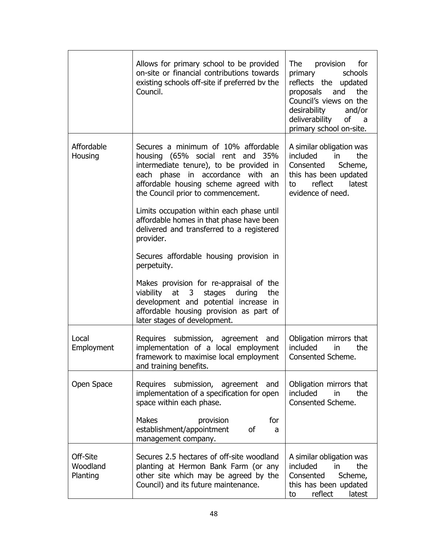|                                  | Allows for primary school to be provided<br>on-site or financial contributions towards<br>existing schools off-site if preferred by the<br>Council.                                                                                                                                                                                                                                                                                                                                                                                                                                                                                                         | provision<br>The<br>for<br>primary<br>schools<br>reflects the updated<br>the<br>proposals<br>and<br>Council's views on the<br>desirability<br>and/or<br>deliverability<br>οf<br>a<br>primary school on-site. |
|----------------------------------|-------------------------------------------------------------------------------------------------------------------------------------------------------------------------------------------------------------------------------------------------------------------------------------------------------------------------------------------------------------------------------------------------------------------------------------------------------------------------------------------------------------------------------------------------------------------------------------------------------------------------------------------------------------|--------------------------------------------------------------------------------------------------------------------------------------------------------------------------------------------------------------|
| Affordable<br>Housing            | Secures a minimum of 10% affordable<br>housing (65% social rent and 35%<br>intermediate tenure), to be provided in<br>each phase in accordance with<br>an<br>affordable housing scheme agreed with<br>the Council prior to commencement.<br>Limits occupation within each phase until<br>affordable homes in that phase have been<br>delivered and transferred to a registered<br>provider.<br>Secures affordable housing provision in<br>perpetuity.<br>Makes provision for re-appraisal of the<br>viability at 3 stages during<br>the<br>development and potential increase in<br>affordable housing provision as part of<br>later stages of development. | A similar obligation was<br>included<br>in<br>the<br>Consented<br>Scheme,<br>this has been updated<br>reflect<br>latest<br>to<br>evidence of need.                                                           |
| Local<br>Employment              | Requires submission, agreement and<br>implementation of a local employment<br>framework to maximise local employment<br>and training benefits.                                                                                                                                                                                                                                                                                                                                                                                                                                                                                                              | Obligation mirrors that<br>included<br>the<br>in<br>Consented Scheme.                                                                                                                                        |
| Open Space                       | Requires submission, agreement<br>and<br>implementation of a specification for open<br>space within each phase.<br><b>Makes</b><br>for<br>provision<br>establishment/appointment<br>of<br>a<br>management company.                                                                                                                                                                                                                                                                                                                                                                                                                                          | Obligation mirrors that<br>included<br>the<br>in.<br>Consented Scheme.                                                                                                                                       |
| Off-Site<br>Woodland<br>Planting | Secures 2.5 hectares of off-site woodland<br>planting at Hermon Bank Farm (or any<br>other site which may be agreed by the<br>Council) and its future maintenance.                                                                                                                                                                                                                                                                                                                                                                                                                                                                                          | A similar obligation was<br>included<br>the<br>in<br>Consented<br>Scheme,<br>this has been updated<br>reflect<br>latest<br>to                                                                                |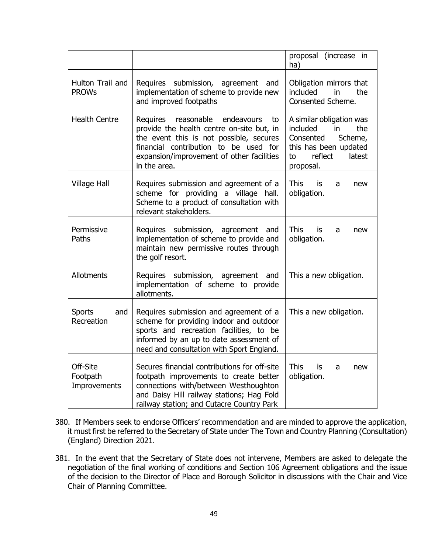|                                      |                                                                                                                                                                                                                                    | proposal (increase in<br>ha)                                                                                                               |
|--------------------------------------|------------------------------------------------------------------------------------------------------------------------------------------------------------------------------------------------------------------------------------|--------------------------------------------------------------------------------------------------------------------------------------------|
| Hulton Trail and<br><b>PROWs</b>     | Requires submission, agreement and<br>implementation of scheme to provide new<br>and improved footpaths                                                                                                                            | Obligation mirrors that<br>included<br>in<br>the<br>Consented Scheme.                                                                      |
| <b>Health Centre</b>                 | Requires reasonable endeavours<br>to<br>provide the health centre on-site but, in<br>the event this is not possible, secures<br>financial contribution to be used for<br>expansion/improvement of other facilities<br>in the area. | A similar obligation was<br>included<br>in<br>the<br>Consented<br>Scheme,<br>this has been updated<br>reflect<br>latest<br>to<br>proposal. |
| <b>Village Hall</b>                  | Requires submission and agreement of a<br>scheme for providing a village<br>hall.<br>Scheme to a product of consultation with<br>relevant stakeholders.                                                                            | <b>This</b><br>is<br>a<br>new<br>obligation.                                                                                               |
| Permissive<br>Paths                  | Requires submission, agreement and<br>implementation of scheme to provide and<br>maintain new permissive routes through<br>the golf resort.                                                                                        | <b>This</b><br>is<br>a<br>new<br>obligation.                                                                                               |
| Allotments                           | Requires submission, agreement and<br>implementation of scheme to provide<br>allotments.                                                                                                                                           | This a new obligation.                                                                                                                     |
| <b>Sports</b><br>and<br>Recreation   | Requires submission and agreement of a<br>scheme for providing indoor and outdoor<br>sports and recreation facilities, to be<br>informed by an up to date assessment of<br>need and consultation with Sport England.               | This a new obligation.                                                                                                                     |
| Off-Site<br>Footpath<br>Improvements | Secures financial contributions for off-site<br>footpath improvements to create better<br>connections with/between Westhoughton<br>and Daisy Hill railway stations; Hag Fold<br>railway station; and Cutacre Country Park          | <b>This</b><br>is.<br>new<br>a<br>obligation.                                                                                              |

- 380. If Members seek to endorse Officers' recommendation and are minded to approve the application, it must first be referred to the Secretary of State under The Town and Country Planning (Consultation) (England) Direction 2021.
- 381. In the event that the Secretary of State does not intervene, Members are asked to delegate the negotiation of the final working of conditions and Section 106 Agreement obligations and the issue of the decision to the Director of Place and Borough Solicitor in discussions with the Chair and Vice Chair of Planning Committee.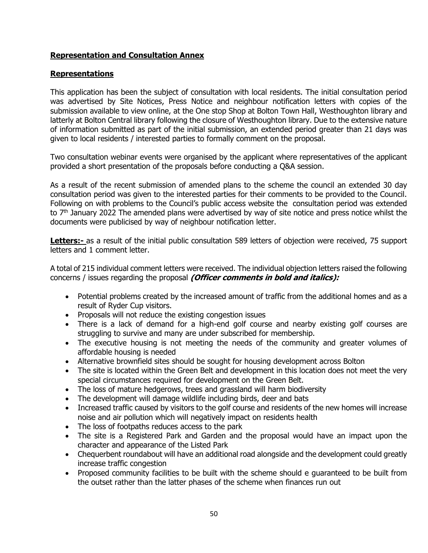# **Representation and Consultation Annex**

# **Representations**

This application has been the subject of consultation with local residents. The initial consultation period was advertised by Site Notices, Press Notice and neighbour notification letters with copies of the submission available to view online, at the One stop Shop at Bolton Town Hall, Westhoughton library and latterly at Bolton Central library following the closure of Westhoughton library. Due to the extensive nature of information submitted as part of the initial submission, an extended period greater than 21 days was given to local residents / interested parties to formally comment on the proposal.

Two consultation webinar events were organised by the applicant where representatives of the applicant provided a short presentation of the proposals before conducting a Q&A session.

As a result of the recent submission of amended plans to the scheme the council an extended 30 day consultation period was given to the interested parties for their comments to be provided to the Council. Following on with problems to the Council's public access website the consultation period was extended to 7<sup>th</sup> January 2022 The amended plans were advertised by way of site notice and press notice whilst the documents were publicised by way of neighbour notification letter.

**Letters:-** as a result of the initial public consultation 589 letters of objection were received, 75 support letters and 1 comment letter.

A total of 215 individual comment letters were received. The individual objection letters raised the following concerns / issues regarding the proposal **(Officer comments in bold and italics):**

- Potential problems created by the increased amount of traffic from the additional homes and as a result of Ryder Cup visitors.
- Proposals will not reduce the existing congestion issues
- There is a lack of demand for a high-end golf course and nearby existing golf courses are struggling to survive and many are under subscribed for membership.
- The executive housing is not meeting the needs of the community and greater volumes of affordable housing is needed
- Alternative brownfield sites should be sought for housing development across Bolton
- The site is located within the Green Belt and development in this location does not meet the very special circumstances required for development on the Green Belt.
- The loss of mature hedgerows, trees and grassland will harm biodiversity
- The development will damage wildlife including birds, deer and bats
- Increased traffic caused by visitors to the golf course and residents of the new homes will increase noise and air pollution which will negatively impact on residents health
- The loss of footpaths reduces access to the park
- The site is a Registered Park and Garden and the proposal would have an impact upon the character and appearance of the Listed Park
- Chequerbent roundabout will have an additional road alongside and the development could greatly increase traffic congestion
- Proposed community facilities to be built with the scheme should e guaranteed to be built from the outset rather than the latter phases of the scheme when finances run out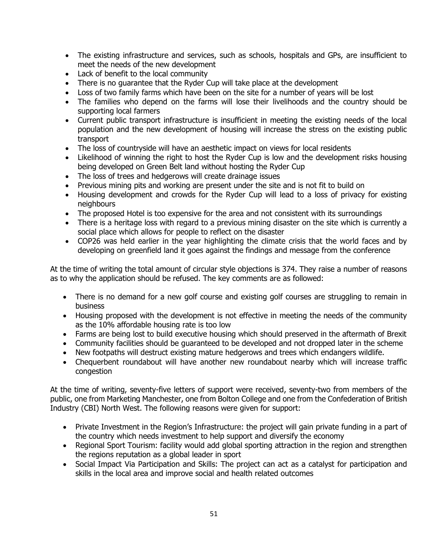- The existing infrastructure and services, such as schools, hospitals and GPs, are insufficient to meet the needs of the new development
- Lack of benefit to the local community
- There is no guarantee that the Ryder Cup will take place at the development
- Loss of two family farms which have been on the site for a number of years will be lost
- The families who depend on the farms will lose their livelihoods and the country should be supporting local farmers
- Current public transport infrastructure is insufficient in meeting the existing needs of the local population and the new development of housing will increase the stress on the existing public transport
- The loss of countryside will have an aesthetic impact on views for local residents
- Likelihood of winning the right to host the Ryder Cup is low and the development risks housing being developed on Green Belt land without hosting the Ryder Cup
- The loss of trees and hedgerows will create drainage issues
- Previous mining pits and working are present under the site and is not fit to build on
- Housing development and crowds for the Ryder Cup will lead to a loss of privacy for existing neighbours
- The proposed Hotel is too expensive for the area and not consistent with its surroundings
- There is a heritage loss with regard to a previous mining disaster on the site which is currently a social place which allows for people to reflect on the disaster
- COP26 was held earlier in the year highlighting the climate crisis that the world faces and by developing on greenfield land it goes against the findings and message from the conference

At the time of writing the total amount of circular style objections is 374. They raise a number of reasons as to why the application should be refused. The key comments are as followed:

- There is no demand for a new golf course and existing golf courses are struggling to remain in business
- Housing proposed with the development is not effective in meeting the needs of the community as the 10% affordable housing rate is too low
- Farms are being lost to build executive housing which should preserved in the aftermath of Brexit
- Community facilities should be guaranteed to be developed and not dropped later in the scheme
- New footpaths will destruct existing mature hedgerows and trees which endangers wildlife.
- Chequerbent roundabout will have another new roundabout nearby which will increase traffic congestion

At the time of writing, seventy-five letters of support were received, seventy-two from members of the public, one from Marketing Manchester, one from Bolton College and one from the Confederation of British Industry (CBI) North West. The following reasons were given for support:

- Private Investment in the Region's Infrastructure: the project will gain private funding in a part of the country which needs investment to help support and diversify the economy
- Regional Sport Tourism: facility would add global sporting attraction in the region and strengthen the regions reputation as a global leader in sport
- Social Impact Via Participation and Skills: The project can act as a catalyst for participation and skills in the local area and improve social and health related outcomes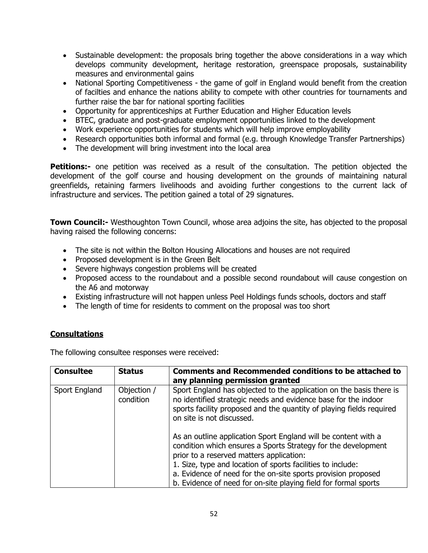- Sustainable development: the proposals bring together the above considerations in a way which develops community development, heritage restoration, greenspace proposals, sustainability measures and environmental gains
- National Sporting Competitiveness the game of golf in England would benefit from the creation of facilties and enhance the nations ability to compete with other countries for tournaments and further raise the bar for national sporting facilities
- Opportunity for apprenticeships at Further Education and Higher Education levels
- BTEC, graduate and post-graduate employment opportunities linked to the development
- Work experience opportunities for students which will help improve employability
- Research opportunities both informal and formal (e.g. through Knowledge Transfer Partnerships)
- The development will bring investment into the local area

**Petitions:-** one petition was received as a result of the consultation. The petition objected the development of the golf course and housing development on the grounds of maintaining natural greenfields, retaining farmers livelihoods and avoiding further congestions to the current lack of infrastructure and services. The petition gained a total of 29 signatures.

**Town Council:-** Westhoughton Town Council, whose area adjoins the site, has objected to the proposal having raised the following concerns:

- The site is not within the Bolton Housing Allocations and houses are not required
- Proposed development is in the Green Belt
- Severe highways congestion problems will be created
- Proposed access to the roundabout and a possible second roundabout will cause congestion on the A6 and motorway
- Existing infrastructure will not happen unless Peel Holdings funds schools, doctors and staff
- The length of time for residents to comment on the proposal was too short

# **Consultations**

The following consultee responses were received:

| <b>Consultee</b> | <b>Status</b>            | <b>Comments and Recommended conditions to be attached to</b><br>any planning permission granted                                                                                                                                                                                                                                                                                                                                                                                                                                                                                                                              |
|------------------|--------------------------|------------------------------------------------------------------------------------------------------------------------------------------------------------------------------------------------------------------------------------------------------------------------------------------------------------------------------------------------------------------------------------------------------------------------------------------------------------------------------------------------------------------------------------------------------------------------------------------------------------------------------|
| Sport England    | Objection /<br>condition | Sport England has objected to the application on the basis there is<br>no identified strategic needs and evidence base for the indoor<br>sports facility proposed and the quantity of playing fields required<br>on site is not discussed.<br>As an outline application Sport England will be content with a<br>condition which ensures a Sports Strategy for the development<br>prior to a reserved matters application:<br>1. Size, type and location of sports facilities to include:<br>a. Evidence of need for the on-site sports provision proposed<br>b. Evidence of need for on-site playing field for formal sports |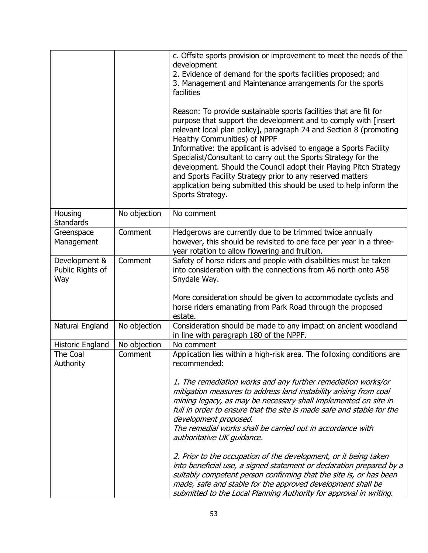|                                          |              | c. Offsite sports provision or improvement to meet the needs of the<br>development<br>2. Evidence of demand for the sports facilities proposed; and<br>3. Management and Maintenance arrangements for the sports<br>facilities<br>Reason: To provide sustainable sports facilities that are fit for<br>purpose that support the development and to comply with [insert<br>relevant local plan policy], paragraph 74 and Section 8 (promoting<br>Healthy Communities) of NPPF<br>Informative: the applicant is advised to engage a Sports Facility<br>Specialist/Consultant to carry out the Sports Strategy for the<br>development. Should the Council adopt their Playing Pitch Strategy<br>and Sports Facility Strategy prior to any reserved matters<br>application being submitted this should be used to help inform the<br>Sports Strategy. |
|------------------------------------------|--------------|---------------------------------------------------------------------------------------------------------------------------------------------------------------------------------------------------------------------------------------------------------------------------------------------------------------------------------------------------------------------------------------------------------------------------------------------------------------------------------------------------------------------------------------------------------------------------------------------------------------------------------------------------------------------------------------------------------------------------------------------------------------------------------------------------------------------------------------------------|
| Housing<br><b>Standards</b>              | No objection | No comment                                                                                                                                                                                                                                                                                                                                                                                                                                                                                                                                                                                                                                                                                                                                                                                                                                        |
| Greenspace<br>Management                 | Comment      | Hedgerows are currently due to be trimmed twice annually<br>however, this should be revisited to one face per year in a three-<br>year rotation to allow flowering and fruition.                                                                                                                                                                                                                                                                                                                                                                                                                                                                                                                                                                                                                                                                  |
| Development &<br>Public Rights of<br>Way | Comment      | Safety of horse riders and people with disabilities must be taken<br>into consideration with the connections from A6 north onto A58<br>Snydale Way.<br>More consideration should be given to accommodate cyclists and<br>horse riders emanating from Park Road through the proposed<br>estate.                                                                                                                                                                                                                                                                                                                                                                                                                                                                                                                                                    |
| Natural England                          | No objection | Consideration should be made to any impact on ancient woodland<br>in line with paragraph 180 of the NPPF.                                                                                                                                                                                                                                                                                                                                                                                                                                                                                                                                                                                                                                                                                                                                         |
| Historic England                         | No objection | No comment                                                                                                                                                                                                                                                                                                                                                                                                                                                                                                                                                                                                                                                                                                                                                                                                                                        |
| The Coal<br>Authority                    | Comment      | Application lies within a high-risk area. The folloxing conditions are<br>recommended:<br>1. The remediation works and any further remediation works/or                                                                                                                                                                                                                                                                                                                                                                                                                                                                                                                                                                                                                                                                                           |
|                                          |              | mitigation measures to address land instability arising from coal<br>mining legacy, as may be necessary shall implemented on site in<br>full in order to ensure that the site is made safe and stable for the<br>development proposed.<br>The remedial works shall be carried out in accordance with<br>authoritative UK guidance.                                                                                                                                                                                                                                                                                                                                                                                                                                                                                                                |
|                                          |              | 2. Prior to the occupation of the development, or it being taken<br>into beneficial use, a signed statement or declaration prepared by a<br>suitably competent person confirming that the site is, or has been<br>made, safe and stable for the approved development shall be<br>submitted to the Local Planning Authority for approval in writing.                                                                                                                                                                                                                                                                                                                                                                                                                                                                                               |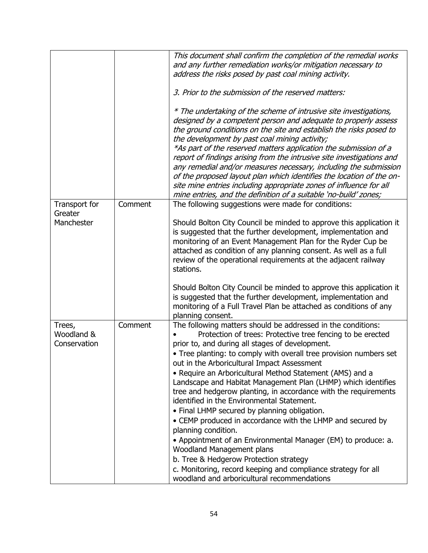|                                      |         | This document shall confirm the completion of the remedial works<br>and any further remediation works/or mitigation necessary to<br>address the risks posed by past coal mining activity.                                                                                                                                                                                                                                                                                                                                                                                                                                                                                                                                                                                                                                                                                                                                                     |
|--------------------------------------|---------|-----------------------------------------------------------------------------------------------------------------------------------------------------------------------------------------------------------------------------------------------------------------------------------------------------------------------------------------------------------------------------------------------------------------------------------------------------------------------------------------------------------------------------------------------------------------------------------------------------------------------------------------------------------------------------------------------------------------------------------------------------------------------------------------------------------------------------------------------------------------------------------------------------------------------------------------------|
|                                      |         | 3. Prior to the submission of the reserved matters:                                                                                                                                                                                                                                                                                                                                                                                                                                                                                                                                                                                                                                                                                                                                                                                                                                                                                           |
|                                      |         | * The undertaking of the scheme of intrusive site investigations,<br>designed by a competent person and adequate to properly assess<br>the ground conditions on the site and establish the risks posed to<br>the development by past coal mining activity;<br>*As part of the reserved matters application the submission of a<br>report of findings arising from the intrusive site investigations and<br>any remedial and/or measures necessary, including the submission<br>of the proposed layout plan which identifies the location of the on-<br>site mine entries including appropriate zones of influence for all<br>mine entries, and the definition of a suitable 'no-build' zones;                                                                                                                                                                                                                                                 |
| Transport for                        | Comment | The following suggestions were made for conditions:                                                                                                                                                                                                                                                                                                                                                                                                                                                                                                                                                                                                                                                                                                                                                                                                                                                                                           |
| Greater<br>Manchester                |         | Should Bolton City Council be minded to approve this application it<br>is suggested that the further development, implementation and<br>monitoring of an Event Management Plan for the Ryder Cup be<br>attached as condition of any planning consent. As well as a full<br>review of the operational requirements at the adjacent railway<br>stations.                                                                                                                                                                                                                                                                                                                                                                                                                                                                                                                                                                                        |
|                                      |         | Should Bolton City Council be minded to approve this application it<br>is suggested that the further development, implementation and<br>monitoring of a Full Travel Plan be attached as conditions of any<br>planning consent.                                                                                                                                                                                                                                                                                                                                                                                                                                                                                                                                                                                                                                                                                                                |
| Trees,<br>Woodland &<br>Conservation | Comment | The following matters should be addressed in the conditions:<br>Protection of trees: Protective tree fencing to be erected<br>prior to, and during all stages of development.<br>• Tree planting: to comply with overall tree provision numbers set<br>out in the Arboricultural Impact Assessment<br>• Require an Arboricultural Method Statement (AMS) and a<br>Landscape and Habitat Management Plan (LHMP) which identifies<br>tree and hedgerow planting, in accordance with the requirements<br>identified in the Environmental Statement.<br>• Final LHMP secured by planning obligation.<br>• CEMP produced in accordance with the LHMP and secured by<br>planning condition.<br>• Appointment of an Environmental Manager (EM) to produce: a.<br>Woodland Management plans<br>b. Tree & Hedgerow Protection strategy<br>c. Monitoring, record keeping and compliance strategy for all<br>woodland and arboricultural recommendations |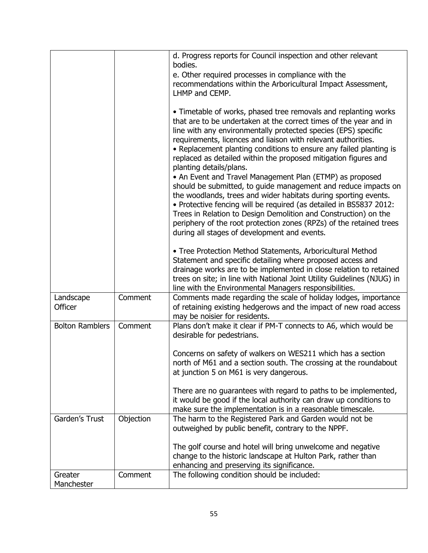|                        |           | d. Progress reports for Council inspection and other relevant<br>bodies.<br>e. Other required processes in compliance with the<br>recommendations within the Arboricultural Impact Assessment,                                                                                                                                                                                                                                                                                                                                                                                                                                                                                                                                                                                                                                                                                                               |
|------------------------|-----------|--------------------------------------------------------------------------------------------------------------------------------------------------------------------------------------------------------------------------------------------------------------------------------------------------------------------------------------------------------------------------------------------------------------------------------------------------------------------------------------------------------------------------------------------------------------------------------------------------------------------------------------------------------------------------------------------------------------------------------------------------------------------------------------------------------------------------------------------------------------------------------------------------------------|
|                        |           | LHMP and CEMP.                                                                                                                                                                                                                                                                                                                                                                                                                                                                                                                                                                                                                                                                                                                                                                                                                                                                                               |
|                        |           | • Timetable of works, phased tree removals and replanting works<br>that are to be undertaken at the correct times of the year and in<br>line with any environmentally protected species (EPS) specific<br>requirements, licences and liaison with relevant authorities.<br>• Replacement planting conditions to ensure any failed planting is<br>replaced as detailed within the proposed mitigation figures and<br>planting details/plans.<br>• An Event and Travel Management Plan (ETMP) as proposed<br>should be submitted, to guide management and reduce impacts on<br>the woodlands, trees and wider habitats during sporting events.<br>. Protective fencing will be required (as detailed in BS5837 2012:<br>Trees in Relation to Design Demolition and Construction) on the<br>periphery of the root protection zones (RPZs) of the retained trees<br>during all stages of development and events. |
|                        |           | • Tree Protection Method Statements, Arboricultural Method<br>Statement and specific detailing where proposed access and<br>drainage works are to be implemented in close relation to retained<br>trees on site; in line with National Joint Utility Guidelines (NJUG) in                                                                                                                                                                                                                                                                                                                                                                                                                                                                                                                                                                                                                                    |
|                        |           | line with the Environmental Managers responsibilities.                                                                                                                                                                                                                                                                                                                                                                                                                                                                                                                                                                                                                                                                                                                                                                                                                                                       |
| Landscape<br>Officer   | Comment   | Comments made regarding the scale of holiday lodges, importance<br>of retaining existing hedgerows and the impact of new road access<br>may be noisier for residents.                                                                                                                                                                                                                                                                                                                                                                                                                                                                                                                                                                                                                                                                                                                                        |
| <b>Bolton Ramblers</b> | Comment   | Plans don't make it clear if PM-T connects to A6, which would be<br>desirable for pedestrians.                                                                                                                                                                                                                                                                                                                                                                                                                                                                                                                                                                                                                                                                                                                                                                                                               |
|                        |           | Concerns on safety of walkers on WES211 which has a section<br>north of M61 and a section south. The crossing at the roundabout<br>at junction 5 on M61 is very dangerous.                                                                                                                                                                                                                                                                                                                                                                                                                                                                                                                                                                                                                                                                                                                                   |
|                        |           | There are no guarantees with regard to paths to be implemented,<br>it would be good if the local authority can draw up conditions to<br>make sure the implementation is in a reasonable timescale.                                                                                                                                                                                                                                                                                                                                                                                                                                                                                                                                                                                                                                                                                                           |
| Garden's Trust         | Objection | The harm to the Registered Park and Garden would not be<br>outweighed by public benefit, contrary to the NPPF.                                                                                                                                                                                                                                                                                                                                                                                                                                                                                                                                                                                                                                                                                                                                                                                               |
|                        |           | The golf course and hotel will bring unwelcome and negative<br>change to the historic landscape at Hulton Park, rather than<br>enhancing and preserving its significance.                                                                                                                                                                                                                                                                                                                                                                                                                                                                                                                                                                                                                                                                                                                                    |
| Greater<br>Manchester  | Comment   | The following condition should be included:                                                                                                                                                                                                                                                                                                                                                                                                                                                                                                                                                                                                                                                                                                                                                                                                                                                                  |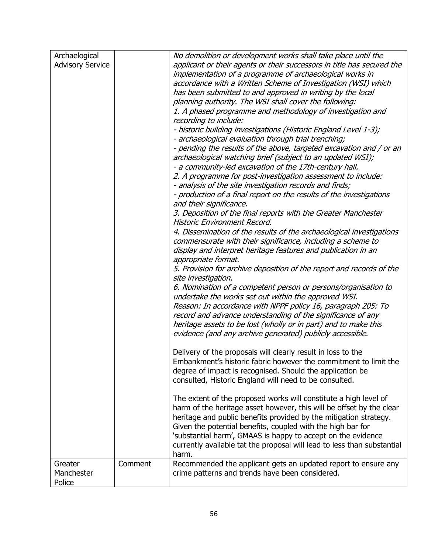| Archaelogical           |         | No demolition or development works shall take place until the           |
|-------------------------|---------|-------------------------------------------------------------------------|
| <b>Advisory Service</b> |         | applicant or their agents or their successors in title has secured the  |
|                         |         | implementation of a programme of archaeological works in                |
|                         |         | accordance with a Written Scheme of Investigation (WSI) which           |
|                         |         | has been submitted to and approved in writing by the local              |
|                         |         |                                                                         |
|                         |         | planning authority. The WSI shall cover the following:                  |
|                         |         | 1. A phased programme and methodology of investigation and              |
|                         |         | recording to include:                                                   |
|                         |         | - historic building investigations (Historic England Level 1-3);        |
|                         |         | - archaeological evaluation through trial trenching;                    |
|                         |         | - pending the results of the above, targeted excavation and / or an     |
|                         |         | archaeological watching brief (subject to an updated WSI);              |
|                         |         | - a community-led excavation of the 17th-century hall.                  |
|                         |         |                                                                         |
|                         |         | 2. A programme for post-investigation assessment to include:            |
|                         |         | - analysis of the site investigation records and finds;                 |
|                         |         | - production of a final report on the results of the investigations     |
|                         |         | and their significance.                                                 |
|                         |         | 3. Deposition of the final reports with the Greater Manchester          |
|                         |         | Historic Environment Record.                                            |
|                         |         | 4. Dissemination of the results of the archaeological investigations    |
|                         |         | commensurate with their significance, including a scheme to             |
|                         |         | display and interpret heritage features and publication in an           |
|                         |         |                                                                         |
|                         |         | appropriate format.                                                     |
|                         |         | 5. Provision for archive deposition of the report and records of the    |
|                         |         | site investigation.                                                     |
|                         |         | 6. Nomination of a competent person or persons/organisation to          |
|                         |         | undertake the works set out within the approved WSI.                    |
|                         |         | Reason: In accordance with NPPF policy 16, paragraph 205: To            |
|                         |         | record and advance understanding of the significance of any             |
|                         |         | heritage assets to be lost (wholly or in part) and to make this         |
|                         |         | evidence (and any archive generated) publicly accessible.               |
|                         |         |                                                                         |
|                         |         |                                                                         |
|                         |         | Delivery of the proposals will clearly result in loss to the            |
|                         |         | Embankment's historic fabric however the commitment to limit the        |
|                         |         | degree of impact is recognised. Should the application be               |
|                         |         | consulted, Historic England will need to be consulted.                  |
|                         |         |                                                                         |
|                         |         | The extent of the proposed works will constitute a high level of        |
|                         |         | harm of the heritage asset however, this will be offset by the clear    |
|                         |         | heritage and public benefits provided by the mitigation strategy.       |
|                         |         | Given the potential benefits, coupled with the high bar for             |
|                         |         |                                                                         |
|                         |         | 'substantial harm', GMAAS is happy to accept on the evidence            |
|                         |         | currently available tat the proposal will lead to less than substantial |
|                         |         | harm.                                                                   |
| Greater                 | Comment | Recommended the applicant gets an updated report to ensure any          |
| Manchester              |         | crime patterns and trends have been considered.                         |
| Police                  |         |                                                                         |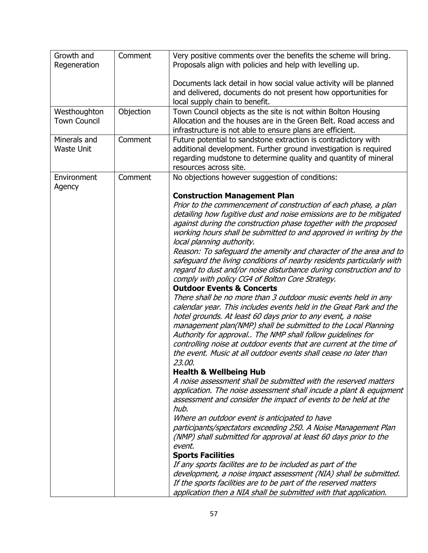| Growth and<br>Regeneration          | Comment   | Very positive comments over the benefits the scheme will bring.<br>Proposals align with policies and help with levelling up.                                                                                                                                                                                                                                                                                                                                                            |
|-------------------------------------|-----------|-----------------------------------------------------------------------------------------------------------------------------------------------------------------------------------------------------------------------------------------------------------------------------------------------------------------------------------------------------------------------------------------------------------------------------------------------------------------------------------------|
|                                     |           | Documents lack detail in how social value activity will be planned<br>and delivered, documents do not present how opportunities for<br>local supply chain to benefit.                                                                                                                                                                                                                                                                                                                   |
| Westhoughton<br><b>Town Council</b> | Objection | Town Council objects as the site is not within Bolton Housing<br>Allocation and the houses are in the Green Belt. Road access and<br>infrastructure is not able to ensure plans are efficient.                                                                                                                                                                                                                                                                                          |
| Minerals and<br><b>Waste Unit</b>   | Comment   | Future potential to sandstone extraction is contradictory with<br>additional development. Further ground investigation is required<br>regarding mudstone to determine quality and quantity of mineral<br>resources across site.                                                                                                                                                                                                                                                         |
| Environment<br>Agency               | Comment   | No objections however suggestion of conditions:                                                                                                                                                                                                                                                                                                                                                                                                                                         |
|                                     |           | <b>Construction Management Plan</b>                                                                                                                                                                                                                                                                                                                                                                                                                                                     |
|                                     |           | Prior to the commencement of construction of each phase, a plan<br>detailing how fugitive dust and noise emissions are to be mitigated<br>against during the construction phase together with the proposed<br>working hours shall be submitted to and approved in writing by the<br>local planning authority.                                                                                                                                                                           |
|                                     |           | Reason: To safeguard the amenity and character of the area and to<br>safeguard the living conditions of nearby residents particularly with<br>regard to dust and/or noise disturbance during construction and to<br>comply with policy CG4 of Bolton Core Strategy.<br><b>Outdoor Events &amp; Concerts</b>                                                                                                                                                                             |
|                                     |           | There shall be no more than 3 outdoor music events held in any<br>calendar year. This includes events held in the Great Park and the<br>hotel grounds. At least 60 days prior to any event, a noise<br>management plan(NMP) shall be submitted to the Local Planning<br>Authority for approval The NMP shall follow guidelines for<br>controlling noise at outdoor events that are current at the time of<br>the event. Music at all outdoor events shall cease no later than<br>23.00. |
|                                     |           | <b>Health &amp; Wellbeing Hub</b>                                                                                                                                                                                                                                                                                                                                                                                                                                                       |
|                                     |           | A noise assessment shall be submitted with the reserved matters<br>application. The noise assessment shall incude a plant & equipment<br>assessment and consider the impact of events to be held at the<br>hub.                                                                                                                                                                                                                                                                         |
|                                     |           | Where an outdoor event is anticipated to have<br>participants/spectators exceeding 250. A Noise Management Plan<br>(NMP) shall submitted for approval at least 60 days prior to the<br>event.                                                                                                                                                                                                                                                                                           |
|                                     |           | <b>Sports Facilities</b>                                                                                                                                                                                                                                                                                                                                                                                                                                                                |
|                                     |           | If any sports facilites are to be included as part of the                                                                                                                                                                                                                                                                                                                                                                                                                               |
|                                     |           | development, a noise impact assessment (NIA) shall be submitted.                                                                                                                                                                                                                                                                                                                                                                                                                        |
|                                     |           | If the sports facilities are to be part of the reserved matters                                                                                                                                                                                                                                                                                                                                                                                                                         |
|                                     |           | application then a NIA shall be submitted with that application.                                                                                                                                                                                                                                                                                                                                                                                                                        |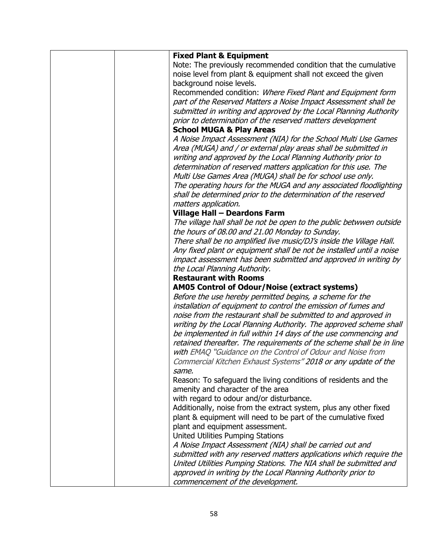| <b>Fixed Plant &amp; Equipment</b>                                   |
|----------------------------------------------------------------------|
| Note: The previously recommended condition that the cumulative       |
| noise level from plant & equipment shall not exceed the given        |
| background noise levels.                                             |
| Recommended condition: Where Fixed Plant and Equipment form          |
| part of the Reserved Matters a Noise Impact Assessment shall be      |
| submitted in writing and approved by the Local Planning Authority    |
| prior to determination of the reserved matters development           |
| <b>School MUGA &amp; Play Areas</b>                                  |
| A Noise Impact Assessment (NIA) for the School Multi Use Games       |
| Area (MUGA) and / or external play areas shall be submitted in       |
|                                                                      |
| writing and approved by the Local Planning Authority prior to        |
| determination of reserved matters application for this use. The      |
| Multi Use Games Area (MUGA) shall be for school use only.            |
| The operating hours for the MUGA and any associated floodlighting    |
| shall be determined prior to the determination of the reserved       |
| matters application.                                                 |
| <b>Village Hall - Deardons Farm</b>                                  |
| The village hall shall be not be open to the public betwwen outside  |
| the hours of 08.00 and 21.00 Monday to Sunday.                       |
| There shall be no amplified live music/DJ's inside the Village Hall. |
| Any fixed plant or equipment shall be not be installed until a noise |
| impact assessment has been submitted and approved in writing by      |
| the Local Planning Authority.                                        |
| <b>Restaurant with Rooms</b>                                         |
| <b>AM05 Control of Odour/Noise (extract systems)</b>                 |
| Before the use hereby permitted begins, a scheme for the             |
| installation of equipment to control the emission of fumes and       |
| noise from the restaurant shall be submitted to and approved in      |
|                                                                      |
| writing by the Local Planning Authority. The approved scheme shall   |
| be implemented in full within 14 days of the use commencing and      |
| retained thereafter. The requirements of the scheme shall be in line |
| with EMAQ "Guidance on the Control of Odour and Noise from           |
| Commercial Kitchen Exhaust Systems" 2018 or any update of the        |
| same.                                                                |
| Reason: To safeguard the living conditions of residents and the      |
| amenity and character of the area                                    |
| with regard to odour and/or disturbance.                             |
| Additionally, noise from the extract system, plus any other fixed    |
| plant & equipment will need to be part of the cumulative fixed       |
| plant and equipment assessment.                                      |
| <b>United Utilities Pumping Stations</b>                             |
| A Noise Impact Assessment (NIA) shall be carried out and             |
| submitted with any reserved matters applications which require the   |
| United Utilities Pumping Stations. The NIA shall be submitted and    |
| approved in writing by the Local Planning Authority prior to         |
| commencement of the development.                                     |
|                                                                      |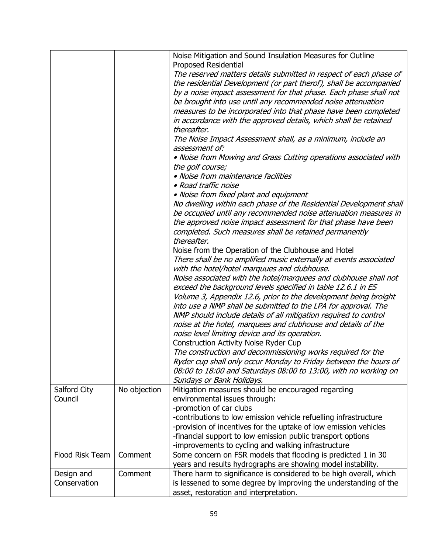|                 |              | Noise Mitigation and Sound Insulation Measures for Outline<br>Proposed Residential           |
|-----------------|--------------|----------------------------------------------------------------------------------------------|
|                 |              | The reserved matters details submitted in respect of each phase of                           |
|                 |              | the residential Development (or part therof), shall be accompanied                           |
|                 |              | by a noise impact assessment for that phase. Each phase shall not                            |
|                 |              | be brought into use until any recommended noise attenuation                                  |
|                 |              | measures to be incorporated into that phase have been completed                              |
|                 |              | in accordance with the approved details, which shall be retained<br>thereafter.              |
|                 |              | The Noise Impact Assessment shall, as a minimum, include an                                  |
|                 |              | assessment of:                                                                               |
|                 |              | . Noise from Mowing and Grass Cutting operations associated with                             |
|                 |              | the golf course;                                                                             |
|                 |              | • Noise from maintenance facilities                                                          |
|                 |              | • Road traffic noise                                                                         |
|                 |              | • Noise from fixed plant and equipment                                                       |
|                 |              | No dwelling within each phase of the Residential Development shall                           |
|                 |              | be occupied until any recommended noise attenuation measures in                              |
|                 |              | the approved noise impact assessment for that phase have been                                |
|                 |              | completed. Such measures shall be retained permanently                                       |
|                 |              | thereafter.                                                                                  |
|                 |              | Noise from the Operation of the Clubhouse and Hotel                                          |
|                 |              | There shall be no amplified music externally at events associated                            |
|                 |              | with the hotel/hotel marquues and clubhouse.                                                 |
|                 |              | Noise associated with the hotel/marquees and clubhouse shall not                             |
|                 |              | exceed the background levels specified in table 12.6.1 in ES                                 |
|                 |              | Volume 3, Appendix 12.6, prior to the development being broight                              |
|                 |              | into use a NMP shall be submitted to the LPA for approval. The                               |
|                 |              | NMP should include details of all mitigation required to control                             |
|                 |              | noise at the hotel, marquees and clubhouse and details of the                                |
|                 |              | noise level limiting device and its operation.                                               |
|                 |              | <b>Construction Activity Noise Ryder Cup</b>                                                 |
|                 |              | The construction and decommissioning works required for the                                  |
|                 |              | Ryder cup shall only occur Monday to Friday between the hours of                             |
|                 |              | 08:00 to 18:00 and Saturdays 08:00 to 13:00, with no working on<br>Sundays or Bank Holidays. |
| Salford City    | No objection | Mitigation measures should be encouraged regarding                                           |
| Council         |              | environmental issues through:                                                                |
|                 |              | -promotion of car clubs                                                                      |
|                 |              | -contributions to low emission vehicle refuelling infrastructure                             |
|                 |              | -provision of incentives for the uptake of low emission vehicles                             |
|                 |              | -financial support to low emission public transport options                                  |
|                 |              | -improvements to cycling and walking infrastructure                                          |
| Flood Risk Team | Comment      | Some concern on FSR models that flooding is predicted 1 in 30                                |
|                 |              | years and results hydrographs are showing model instability.                                 |
| Design and      | Comment      | There harm to significance is considered to be high overall, which                           |
| Conservation    |              | is lessened to some degree by improving the understanding of the                             |
|                 |              | asset, restoration and interpretation.                                                       |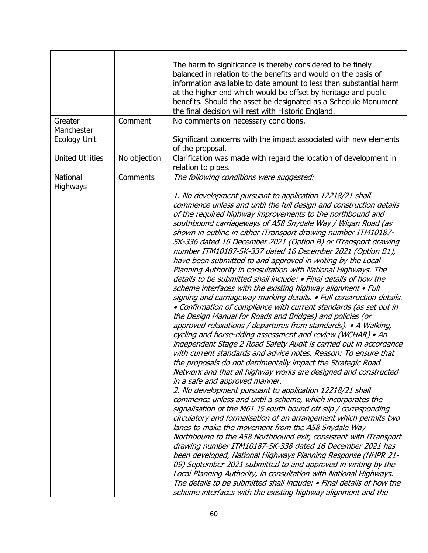| Greater<br>Manchester<br><b>Ecology Unit</b> | Comment      | The harm to significance is thereby considered to be finely<br>balanced in relation to the benefits and would on the basis of<br>information available to date amount to less than substantial harm<br>at the higher end which would be offset by heritage and public<br>benefits. Should the asset be designated as a Schedule Monument<br>the final decision will rest with Historic England.<br>No comments on necessary conditions.<br>Significant concerns with the impact associated with new elements                                                                                                                                                                                                                                                                                                                                                                                                                                                                                                                                                                                                                                                                                                                                                                                                                                                                                                                                                                                                                                                                                                                                                                                                                                                                                                                                                                                                                                                                                                                               |
|----------------------------------------------|--------------|--------------------------------------------------------------------------------------------------------------------------------------------------------------------------------------------------------------------------------------------------------------------------------------------------------------------------------------------------------------------------------------------------------------------------------------------------------------------------------------------------------------------------------------------------------------------------------------------------------------------------------------------------------------------------------------------------------------------------------------------------------------------------------------------------------------------------------------------------------------------------------------------------------------------------------------------------------------------------------------------------------------------------------------------------------------------------------------------------------------------------------------------------------------------------------------------------------------------------------------------------------------------------------------------------------------------------------------------------------------------------------------------------------------------------------------------------------------------------------------------------------------------------------------------------------------------------------------------------------------------------------------------------------------------------------------------------------------------------------------------------------------------------------------------------------------------------------------------------------------------------------------------------------------------------------------------------------------------------------------------------------------------------------------------|
| <b>United Utilities</b>                      | No objection | of the proposal.<br>Clarification was made with regard the location of development in                                                                                                                                                                                                                                                                                                                                                                                                                                                                                                                                                                                                                                                                                                                                                                                                                                                                                                                                                                                                                                                                                                                                                                                                                                                                                                                                                                                                                                                                                                                                                                                                                                                                                                                                                                                                                                                                                                                                                      |
|                                              |              | relation to pipes.                                                                                                                                                                                                                                                                                                                                                                                                                                                                                                                                                                                                                                                                                                                                                                                                                                                                                                                                                                                                                                                                                                                                                                                                                                                                                                                                                                                                                                                                                                                                                                                                                                                                                                                                                                                                                                                                                                                                                                                                                         |
| National<br><b>Highways</b>                  | Comments     | The following conditions were suggested:<br>1. No development pursuant to application 12218/21 shall<br>commence unless and until the full design and construction details<br>of the required highway improvements to the northbound and<br>southbound carriageways of A58 Snydale Way / Wigan Road (as<br>shown in outline in either iTransport drawing number ITM10187-<br>SK-336 dated 16 December 2021 (Option B) or iTransport drawing<br>number ITM10187-SK-337 dated 16 December 2021 (Option B1),<br>have been submitted to and approved in writing by the Local<br>Planning Authority in consultation with National Highways. The<br>details to be submitted shall include: • Final details of how the<br>scheme interfaces with the existing highway alignment • Full<br>signing and carriageway marking details. • Full construction details.<br>• Confirmation of compliance with current standards (as set out in<br>the Design Manual for Roads and Bridges) and policies (or<br>approved relaxations / departures from standards). • A Walking,<br>cycling and horse-riding assessment and review (WCHAR) • An<br>independent Stage 2 Road Safety Audit is carried out in accordance<br>with current standards and advice notes. Reason: To ensure that<br>the proposals do not detrimentally impact the Strategic Road<br>Network and that all highway works are designed and constructed<br>in a safe and approved manner.<br>2. No development pursuant to application 12218/21 shall<br>commence unless and until a scheme, which incorporates the<br>signalisation of the M61 J5 south bound off slip / corresponding<br>circulatory and formalisation of an arrangement which permits two<br>lanes to make the movement from the A58 Snydale Way<br>Northbound to the A58 Northbound exit, consistent with iTransport<br>drawing number ITM10187-SK-338 dated 16 December 2021 has<br>been developed, National Highways Planning Response (NHPR 21-<br>09) September 2021 submitted to and approved in writing by the |
|                                              |              | Local Planning Authority, in consultation with National Highways.<br>The details to be submitted shall include: • Final details of how the<br>scheme interfaces with the existing highway alignment and the                                                                                                                                                                                                                                                                                                                                                                                                                                                                                                                                                                                                                                                                                                                                                                                                                                                                                                                                                                                                                                                                                                                                                                                                                                                                                                                                                                                                                                                                                                                                                                                                                                                                                                                                                                                                                                |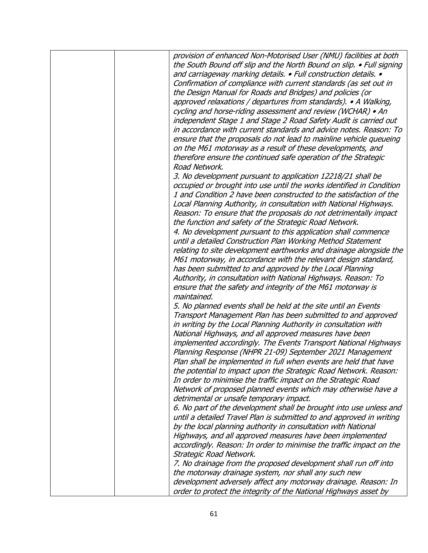| provision of enhanced Non-Motorised User (NMU) facilities at both    |
|----------------------------------------------------------------------|
| the South Bound off slip and the North Bound on slip. • Full signing |
| and carriageway marking details. • Full construction details. •      |
| Confirmation of compliance with current standards (as set out in     |
| the Design Manual for Roads and Bridges) and policies (or            |
| approved relaxations / departures from standards). • A Walking,      |
| cycling and horse-riding assessment and review (WCHAR) • An          |
| independent Stage 1 and Stage 2 Road Safety Audit is carried out     |
| in accordance with current standards and advice notes. Reason: To    |
| ensure that the proposals do not lead to mainline vehicle queueing   |
| on the M61 motorway as a result of these developments, and           |
| therefore ensure the continued safe operation of the Strategic       |
| Road Network.                                                        |
| 3. No development pursuant to application 12218/21 shall be          |
| occupied or brought into use until the works identified in Condition |
| 1 and Condition 2 have been constructed to the satisfaction of the   |
| Local Planning Authority, in consultation with National Highways.    |
| Reason: To ensure that the proposals do not detrimentally impact     |
| the function and safety of the Strategic Road Network.               |
| 4. No development pursuant to this application shall commence        |
| until a detailed Construction Plan Working Method Statement          |
| relating to site development earthworks and drainage alongside the   |
|                                                                      |
| M61 motorway, in accordance with the relevant design standard,       |
| has been submitted to and approved by the Local Planning             |
| Authority, in consultation with National Highways. Reason: To        |
| ensure that the safety and integrity of the M61 motorway is          |
| maintained.                                                          |
| 5. No planned events shall be held at the site until an Events       |
| Transport Management Plan has been submitted to and approved         |
| in writing by the Local Planning Authority in consultation with      |
| National Highways, and all approved measures have been               |
| implemented accordingly. The Events Transport National Highways      |
| Planning Response (NHPR 21-09) September 2021 Management             |
| Plan shall be implemented in full when events are held that have     |
| the potential to impact upon the Strategic Road Network. Reason:     |
| In order to minimise the traffic impact on the Strategic Road        |
| Network of proposed planned events which may otherwise have a        |
| detrimental or unsafe temporary impact.                              |
| 6. No part of the development shall be brought into use unless and   |
| until a detailed Travel Plan is submitted to and approved in writing |
| by the local planning authority in consultation with National        |
| Highways, and all approved measures have been implemented            |
| accordingly. Reason: In order to minimise the traffic impact on the  |
| Strategic Road Network.                                              |
| 7. No drainage from the proposed development shall run off into      |
| the motorway drainage system, nor shall any such new                 |
| development adversely affect any motorway drainage. Reason: In       |
| order to protect the integrity of the National Highways asset by     |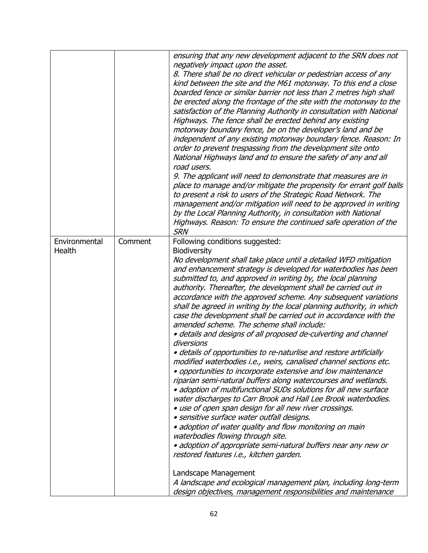|               |         | ensuring that any new development adjacent to the SRN does not                                            |
|---------------|---------|-----------------------------------------------------------------------------------------------------------|
|               |         | negatively impact upon the asset.                                                                         |
|               |         | 8. There shall be no direct vehicular or pedestrian access of any                                         |
|               |         | kind between the site and the M61 motorway. To this end a close                                           |
|               |         | boarded fence or similar barrier not less than 2 metres high shall                                        |
|               |         | be erected along the frontage of the site with the motorway to the                                        |
|               |         | satisfaction of the Planning Authority in consultation with National                                      |
|               |         | Highways. The fence shall be erected behind any existing                                                  |
|               |         | motorway boundary fence, be on the developer's land and be                                                |
|               |         | independent of any existing motorway boundary fence. Reason: In                                           |
|               |         | order to prevent trespassing from the development site onto                                               |
|               |         | National Highways land and to ensure the safety of any and all                                            |
|               |         | road users.                                                                                               |
|               |         | 9. The applicant will need to demonstrate that measures are in                                            |
|               |         | place to manage and/or mitigate the propensity for errant golf balls                                      |
|               |         | to present a risk to users of the Strategic Road Network. The                                             |
|               |         | management and/or mitigation will need to be approved in writing                                          |
|               |         | by the Local Planning Authority, in consultation with National                                            |
|               |         | Highways. Reason: To ensure the continued safe operation of the                                           |
|               |         | <b>SRN</b>                                                                                                |
| Environmental | Comment | Following conditions suggested:                                                                           |
| Health        |         | <b>Biodiversity</b>                                                                                       |
|               |         | No development shall take place until a detailed WFD mitigation                                           |
|               |         | and enhancement strategy is developed for waterbodies has been                                            |
|               |         | submitted to, and approved in writing by, the local planning                                              |
|               |         | authority. Thereafter, the development shall be carried out in                                            |
|               |         | accordance with the approved scheme. Any subsequent variations                                            |
|               |         | shall be agreed in writing by the local planning authority, in which                                      |
|               |         | case the development shall be carried out in accordance with the                                          |
|               |         | amended scheme. The scheme shall include:                                                                 |
|               |         | · details and designs of all proposed de-culverting and channel                                           |
|               |         | diversions                                                                                                |
|               |         | · details of opportunities to re-naturlise and restore artificially                                       |
|               |         | modified waterbodies i.e., weirs, canalised channel sections etc.                                         |
|               |         | • opportunities to incorporate extensive and low maintenance                                              |
|               |         | riparian semi-natural buffers along watercourses and wetlands.                                            |
|               |         | · adoption of multifunctional SUDs solutions for all new surface                                          |
|               |         | water discharges to Carr Brook and Hall Lee Brook waterbodies.                                            |
|               |         | . use of open span design for all new river crossings.                                                    |
|               |         | · sensitive surface water outfall designs.                                                                |
|               |         | · adoption of water quality and flow monitoring on main                                                   |
|               |         | waterbodies flowing through site.                                                                         |
|               |         | · adoption of appropriate semi-natural buffers near any new or<br>restored features i.e., kitchen garden. |
|               |         |                                                                                                           |
|               |         | Landscape Management                                                                                      |
|               |         | A landscape and ecological management plan, including long-term                                           |
|               |         | design objectives, management responsibilities and maintenance                                            |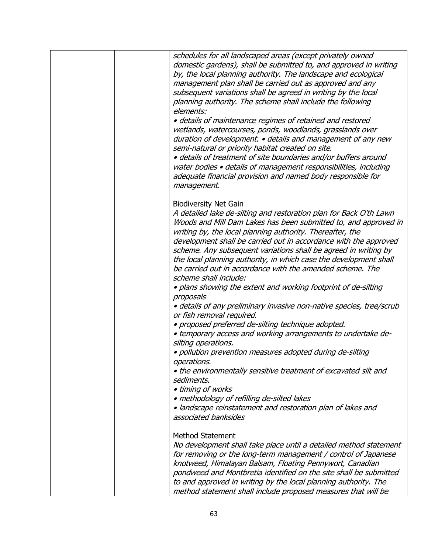| schedules for all landscaped areas (except privately owned<br>domestic gardens), shall be submitted to, and approved in writing<br>by, the local planning authority. The landscape and ecological<br>management plan shall be carried out as approved and any<br>subsequent variations shall be agreed in writing by the local<br>planning authority. The scheme shall include the following<br>elements:<br>· details of maintenance regimes of retained and restored<br>wetlands, watercourses, ponds, woodlands, grasslands over<br>duration of development. • details and management of any new<br>semi-natural or priority habitat created on site.<br>· details of treatment of site boundaries and/or buffers around<br>water bodies • details of management responsibilities, including<br>adequate financial provision and named body responsible for<br>management. |
|-------------------------------------------------------------------------------------------------------------------------------------------------------------------------------------------------------------------------------------------------------------------------------------------------------------------------------------------------------------------------------------------------------------------------------------------------------------------------------------------------------------------------------------------------------------------------------------------------------------------------------------------------------------------------------------------------------------------------------------------------------------------------------------------------------------------------------------------------------------------------------|
| <b>Biodiversity Net Gain</b><br>A detailed lake de-silting and restoration plan for Back O'th Lawn<br>Woods and Mill Dam Lakes has been submitted to, and approved in<br>writing by, the local planning authority. Thereafter, the<br>development shall be carried out in accordance with the approved<br>scheme. Any subsequent variations shall be agreed in writing by<br>the local planning authority, in which case the development shall<br>be carried out in accordance with the amended scheme. The<br>scheme shall include:                                                                                                                                                                                                                                                                                                                                          |
| . plans showing the extent and working footprint of de-silting<br>proposals<br>· details of any preliminary invasive non-native species, tree/scrub<br>or fish removal required.<br>· proposed preferred de-silting technique adopted.<br>• temporary access and working arrangements to undertake de-<br>silting operations.<br>· pollution prevention measures adopted during de-silting<br>operations.<br>. the environmentally sensitive treatment of excavated silt and<br>sediments.<br>• timing of works<br>· methodology of refilling de-silted lakes<br>· landscape reinstatement and restoration plan of lakes and<br>associated banksides                                                                                                                                                                                                                          |
| <b>Method Statement</b><br>No development shall take place until a detailed method statement<br>for removing or the long-term management / control of Japanese<br>knotweed, Himalayan Balsam, Floating Pennywort, Canadian<br>pondweed and Montbretia identified on the site shall be submitted<br>to and approved in writing by the local planning authority. The<br>method statement shall include proposed measures that will be                                                                                                                                                                                                                                                                                                                                                                                                                                           |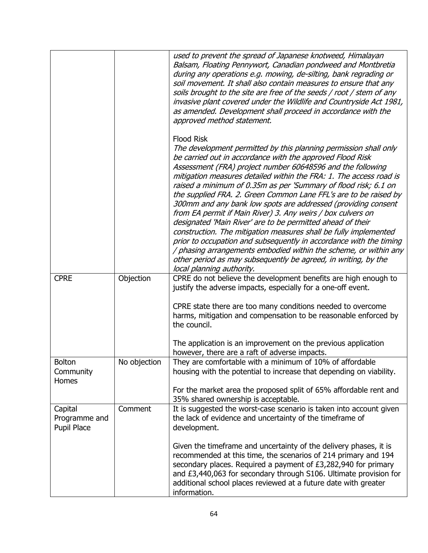|                                         |              | used to prevent the spread of Japanese knotweed, Himalayan<br>Balsam, Floating Pennywort, Canadian pondweed and Montbretia                                                                                                                                                                                                                                                                                                                                                                                                                                                                                                                                                                                                                                                                                                                                                                                                               |
|-----------------------------------------|--------------|------------------------------------------------------------------------------------------------------------------------------------------------------------------------------------------------------------------------------------------------------------------------------------------------------------------------------------------------------------------------------------------------------------------------------------------------------------------------------------------------------------------------------------------------------------------------------------------------------------------------------------------------------------------------------------------------------------------------------------------------------------------------------------------------------------------------------------------------------------------------------------------------------------------------------------------|
|                                         |              | during any operations e.g. mowing, de-silting, bank regrading or<br>soil movement. It shall also contain measures to ensure that any<br>soils brought to the site are free of the seeds / root / stem of any<br>invasive plant covered under the Wildlife and Countryside Act 1981,<br>as amended. Development shall proceed in accordance with the<br>approved method statement.                                                                                                                                                                                                                                                                                                                                                                                                                                                                                                                                                        |
|                                         |              | <b>Flood Risk</b><br>The development permitted by this planning permission shall only<br>be carried out in accordance with the approved Flood Risk<br>Assessment (FRA) project number 60648596 and the following<br>mitigation measures detailed within the FRA: 1. The access road is<br>raised a minimum of 0.35m as per 'Summary of flood risk; 6.1 on<br>the supplied FRA. 2. Green Common Lane FFL's are to be raised by<br>300mm and any bank low spots are addressed (providing consent<br>from EA permit if Main River) 3. Any weirs / box culvers on<br>designated 'Main River' are to be permitted ahead of their<br>construction. The mitigation measures shall be fully implemented<br>prior to occupation and subsequently in accordance with the timing<br>/ phasing arrangements embodied within the scheme, or within any<br>other period as may subsequently be agreed, in writing, by the<br>local planning authority. |
| <b>CPRE</b>                             | Objection    | CPRE do not believe the development benefits are high enough to<br>justify the adverse impacts, especially for a one-off event.                                                                                                                                                                                                                                                                                                                                                                                                                                                                                                                                                                                                                                                                                                                                                                                                          |
|                                         |              | CPRE state there are too many conditions needed to overcome<br>harms, mitigation and compensation to be reasonable enforced by<br>the council.                                                                                                                                                                                                                                                                                                                                                                                                                                                                                                                                                                                                                                                                                                                                                                                           |
|                                         |              | The application is an improvement on the previous application<br>however, there are a raft of adverse impacts.                                                                                                                                                                                                                                                                                                                                                                                                                                                                                                                                                                                                                                                                                                                                                                                                                           |
| Bolton<br>Community<br>Homes            | No objection | They are comfortable with a minimum of 10% of affordable<br>housing with the potential to increase that depending on viability.                                                                                                                                                                                                                                                                                                                                                                                                                                                                                                                                                                                                                                                                                                                                                                                                          |
|                                         |              | For the market area the proposed split of 65% affordable rent and<br>35% shared ownership is acceptable.                                                                                                                                                                                                                                                                                                                                                                                                                                                                                                                                                                                                                                                                                                                                                                                                                                 |
| Capital<br>Programme and<br>Pupil Place | Comment      | It is suggested the worst-case scenario is taken into account given<br>the lack of evidence and uncertainty of the timeframe of<br>development.                                                                                                                                                                                                                                                                                                                                                                                                                                                                                                                                                                                                                                                                                                                                                                                          |
|                                         |              | Given the timeframe and uncertainty of the delivery phases, it is<br>recommended at this time, the scenarios of 214 primary and 194<br>secondary places. Required a payment of £3,282,940 for primary<br>and £3,440,063 for secondary through S106. Ultimate provision for<br>additional school places reviewed at a future date with greater<br>information.                                                                                                                                                                                                                                                                                                                                                                                                                                                                                                                                                                            |